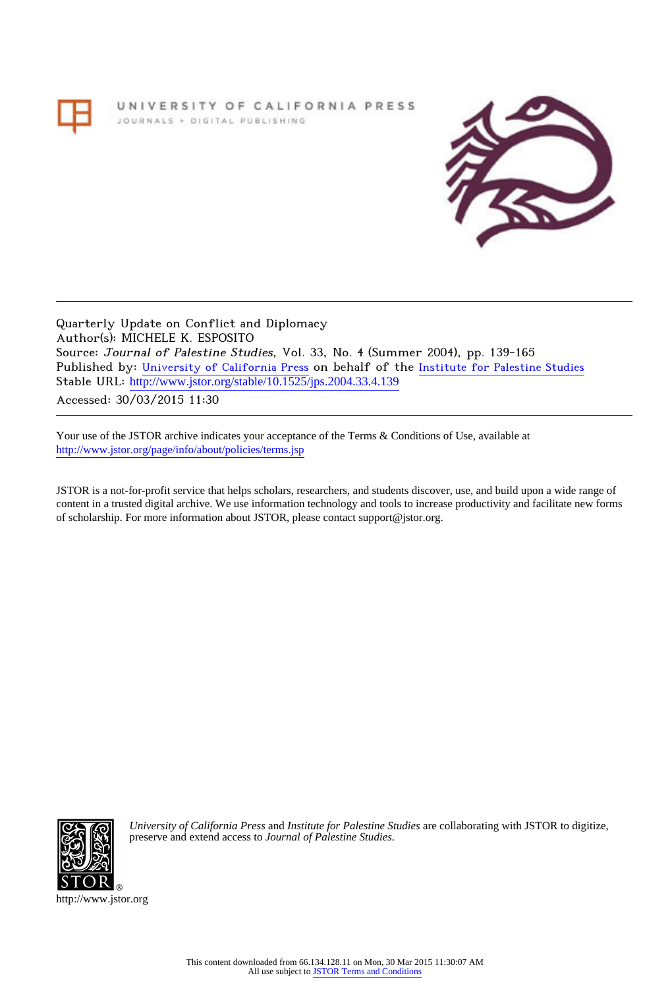# UNIVERSITY OF CALIFORNIA PRESS JOURNALS + DIGITAL PUBLISHING



Quarterly Update on Conflict and Diplomacy Author(s): MICHELE K. ESPOSITO Source: Journal of Palestine Studies, Vol. 33, No. 4 (Summer 2004), pp. 139-165 Published by: [University of California Press](http://www.jstor.org/action/showPublisher?publisherCode=ucal) on behalf of the [Institute for Palestine Studies](http://www.jstor.org/action/showPublisher?publisherCode=palstud) Stable URL: [http://www.jstor.org/stable/10.1525/jps.2004.33.4.139](http://www.jstor.org/stable/10.1525/jps.2004.33.4.139?origin=JSTOR-pdf) .

Accessed: 30/03/2015 11:30

Your use of the JSTOR archive indicates your acceptance of the Terms & Conditions of Use, available at <http://www.jstor.org/page/info/about/policies/terms.jsp>

JSTOR is a not-for-profit service that helps scholars, researchers, and students discover, use, and build upon a wide range of content in a trusted digital archive. We use information technology and tools to increase productivity and facilitate new forms of scholarship. For more information about JSTOR, please contact support@jstor.org.



*University of California Press* and *Institute for Palestine Studies* are collaborating with JSTOR to digitize, preserve and extend access to *Journal of Palestine Studies.*

http://www.jstor.org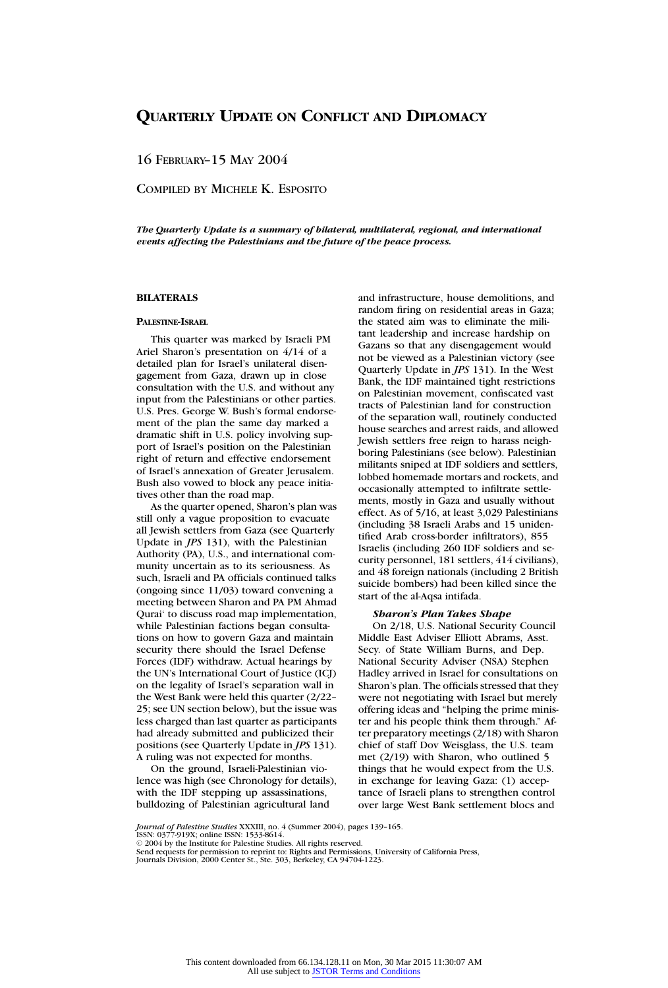16 FEBRUARY–15 MAY 2004

COMPILED BY MICHELE K. ESPOSITO

*The Quarterly Update is a summary of bilateral, multilateral, regional, and international events affecting the Palestinians and the future of the peace process.*

## **BILATERALS**

#### **PALESTINE-ISRAEL**

This quarter was marked by Israeli PM Ariel Sharon's presentation on 4/14 of a detailed plan for Israel's unilateral disengagement from Gaza, drawn up in close consultation with the U.S. and without any input from the Palestinians or other parties. U.S. Pres. George W. Bush's formal endorsement of the plan the same day marked a dramatic shift in U.S. policy involving support of Israel's position on the Palestinian right of return and effective endorsement of Israel's annexation of Greater Jerusalem. Bush also vowed to block any peace initiatives other than the road map.

As the quarter opened, Sharon's plan was still only a vague proposition to evacuate all Jewish settlers from Gaza (see Quarterly Update in *JPS* 131), with the Palestinian Authority (PA), U.S., and international community uncertain as to its seriousness. As such, Israeli and PA officials continued talks (ongoing since 11/03) toward convening a meeting between Sharon and PA PM Ahmad Qurai' to discuss road map implementation, while Palestinian factions began consultations on how to govern Gaza and maintain security there should the Israel Defense Forces (IDF) withdraw. Actual hearings by the UN's International Court of Justice (ICJ) on the legality of Israel's separation wall in the West Bank were held this quarter (2/22– 25; see UN section below), but the issue was less charged than last quarter as participants had already submitted and publicized their positions (see Quarterly Update in *JPS* 131). A ruling was not expected for months.

On the ground, Israeli-Palestinian violence was high (see Chronology for details), with the IDF stepping up assassinations, bulldozing of Palestinian agricultural land

and infrastructure, house demolitions, and random firing on residential areas in Gaza; the stated aim was to eliminate the militant leadership and increase hardship on Gazans so that any disengagement would not be viewed as a Palestinian victory (see Quarterly Update in *JPS* 131). In the West Bank, the IDF maintained tight restrictions on Palestinian movement, confiscated vast tracts of Palestinian land for construction of the separation wall, routinely conducted house searches and arrest raids, and allowed Jewish settlers free reign to harass neighboring Palestinians (see below). Palestinian militants sniped at IDF soldiers and settlers, lobbed homemade mortars and rockets, and occasionally attempted to infiltrate settlements, mostly in Gaza and usually without effect. As of 5/16, at least 3,029 Palestinians (including 38 Israeli Arabs and 15 unidentified Arab cross-border infiltrators), 855 Israelis (including 260 IDF soldiers and security personnel, 181 settlers, 414 civilians), and 48 foreign nationals (including 2 British suicide bombers) had been killed since the start of the al-Aqsa intifada.

#### *Sharon's Plan Takes Shape*

On 2/18, U.S. National Security Council Middle East Adviser Elliott Abrams, Asst. Secy. of State William Burns, and Dep. National Security Adviser (NSA) Stephen Hadley arrived in Israel for consultations on Sharon's plan. The officials stressed that they were not negotiating with Israel but merely offering ideas and "helping the prime minister and his people think them through." After preparatory meetings (2/18) with Sharon chief of staff Dov Weisglass, the U.S. team met (2/19) with Sharon, who outlined 5 things that he would expect from the U.S. in exchange for leaving Gaza: (1) acceptance of Israeli plans to strengthen control over large West Bank settlement blocs and

*Journal of Palestine Studies* XXXIII, no. 4 (Summer 2004), pages 139–165. ISSN: 0377-919X; online ISSN: 1533-8614.

C 2004 by the Institute for Palestine Studies. All rights reserved.

Send requests for permission to reprint to: Rights and Permissions, University of California Press, Journals Division, 2000 Center St., Ste. 303, Berkeley, CA 94704-1223.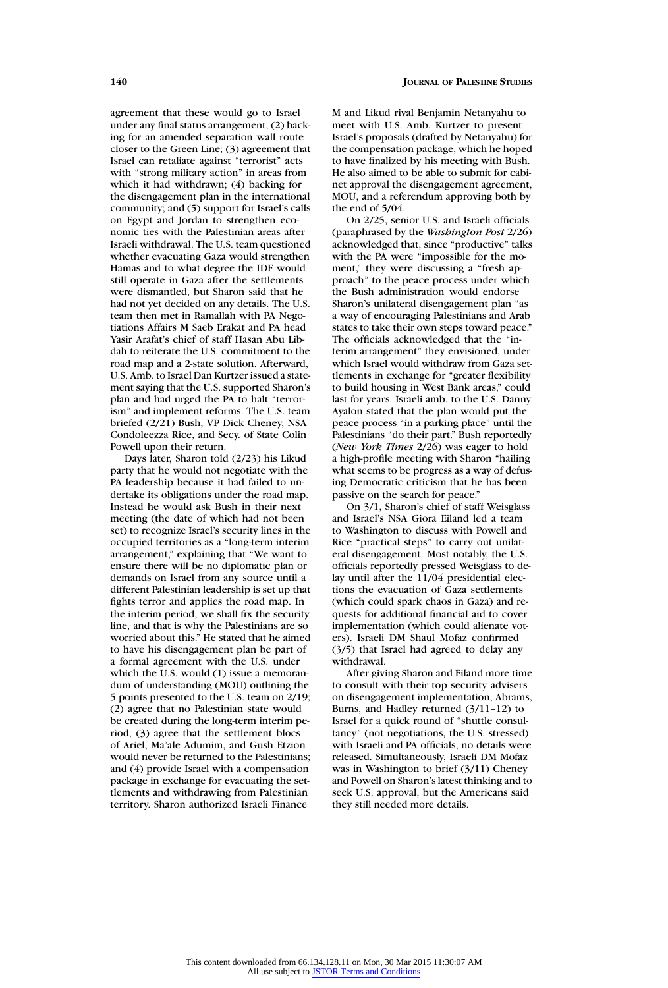agreement that these would go to Israel under any final status arrangement; (2) backing for an amended separation wall route closer to the Green Line; (3) agreement that Israel can retaliate against "terrorist" acts with "strong military action" in areas from which it had withdrawn; (4) backing for the disengagement plan in the international community; and (5) support for Israel's calls on Egypt and Jordan to strengthen economic ties with the Palestinian areas after Israeli withdrawal. The U.S. team questioned whether evacuating Gaza would strengthen Hamas and to what degree the IDF would still operate in Gaza after the settlements were dismantled, but Sharon said that he had not yet decided on any details. The U.S. team then met in Ramallah with PA Negotiations Affairs M Saeb Erakat and PA head Yasir Arafat's chief of staff Hasan Abu Libdah to reiterate the U.S. commitment to the road map and a 2-state solution. Afterward, U.S. Amb. to Israel Dan Kurtzer issued a statement saying that the U.S. supported Sharon's plan and had urged the PA to halt "terrorism" and implement reforms. The U.S. team briefed (2/21) Bush, VP Dick Cheney, NSA Condoleezza Rice, and Secy. of State Colin Powell upon their return.

Days later, Sharon told (2/23) his Likud party that he would not negotiate with the PA leadership because it had failed to undertake its obligations under the road map. Instead he would ask Bush in their next meeting (the date of which had not been set) to recognize Israel's security lines in the occupied territories as a "long-term interim arrangement," explaining that "We want to ensure there will be no diplomatic plan or demands on Israel from any source until a different Palestinian leadership is set up that fights terror and applies the road map. In the interim period, we shall fix the security line, and that is why the Palestinians are so worried about this." He stated that he aimed to have his disengagement plan be part of a formal agreement with the U.S. under which the U.S. would (1) issue a memorandum of understanding (MOU) outlining the 5 points presented to the U.S. team on 2/19; (2) agree that no Palestinian state would be created during the long-term interim period; (3) agree that the settlement blocs of Ariel, Ma'ale Adumim, and Gush Etzion would never be returned to the Palestinians; and (4) provide Israel with a compensation package in exchange for evacuating the settlements and withdrawing from Palestinian territory. Sharon authorized Israeli Finance

M and Likud rival Benjamin Netanyahu to meet with U.S. Amb. Kurtzer to present Israel's proposals (drafted by Netanyahu) for the compensation package, which he hoped to have finalized by his meeting with Bush. He also aimed to be able to submit for cabinet approval the disengagement agreement, MOU, and a referendum approving both by the end of 5/04.

On 2/25, senior U.S. and Israeli officials (paraphrased by the *Washington Post* 2/26) acknowledged that, since "productive" talks with the PA were "impossible for the moment," they were discussing a "fresh approach" to the peace process under which the Bush administration would endorse Sharon's unilateral disengagement plan "as a way of encouraging Palestinians and Arab states to take their own steps toward peace." The officials acknowledged that the "interim arrangement" they envisioned, under which Israel would withdraw from Gaza settlements in exchange for "greater flexibility to build housing in West Bank areas," could last for years. Israeli amb. to the U.S. Danny Ayalon stated that the plan would put the peace process "in a parking place" until the Palestinians "do their part." Bush reportedly (*New York Times* 2/26) was eager to hold a high-profile meeting with Sharon "hailing what seems to be progress as a way of defusing Democratic criticism that he has been passive on the search for peace."

On 3/1, Sharon's chief of staff Weisglass and Israel's NSA Giora Eiland led a team to Washington to discuss with Powell and Rice "practical steps" to carry out unilateral disengagement. Most notably, the U.S. officials reportedly pressed Weisglass to delay until after the 11/04 presidential elections the evacuation of Gaza settlements (which could spark chaos in Gaza) and requests for additional financial aid to cover implementation (which could alienate voters). Israeli DM Shaul Mofaz confirmed (3/5) that Israel had agreed to delay any withdrawal.

After giving Sharon and Eiland more time to consult with their top security advisers on disengagement implementation, Abrams, Burns, and Hadley returned (3/11–12) to Israel for a quick round of "shuttle consultancy" (not negotiations, the U.S. stressed) with Israeli and PA officials; no details were released. Simultaneously, Israeli DM Mofaz was in Washington to brief (3/11) Cheney and Powell on Sharon's latest thinking and to seek U.S. approval, but the Americans said they still needed more details.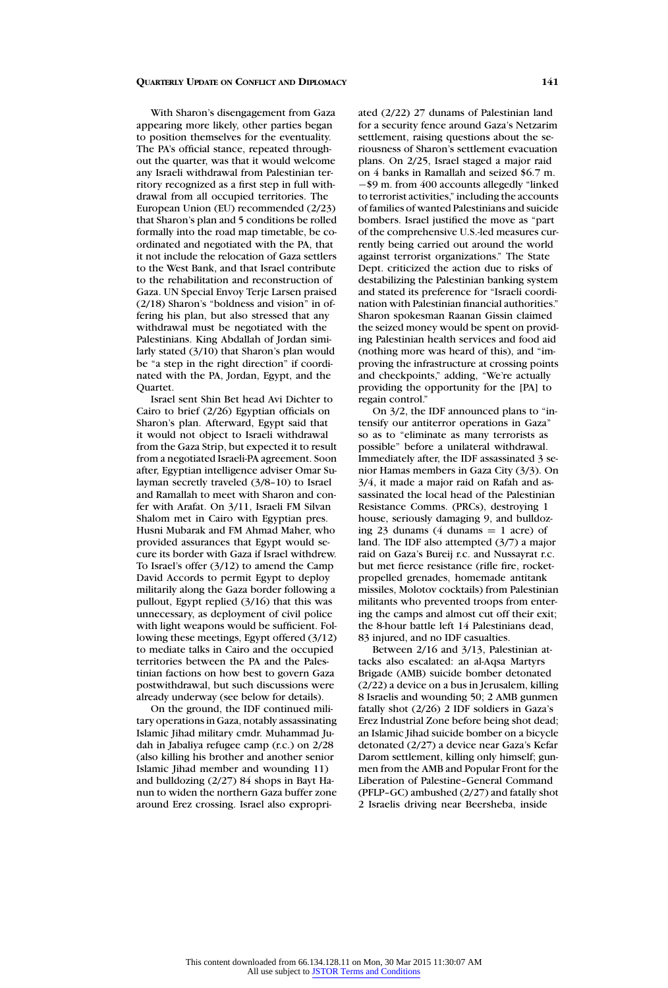With Sharon's disengagement from Gaza appearing more likely, other parties began to position themselves for the eventuality. The PA's official stance, repeated throughout the quarter, was that it would welcome any Israeli withdrawal from Palestinian territory recognized as a first step in full withdrawal from all occupied territories. The European Union (EU) recommended (2/23) that Sharon's plan and 5 conditions be rolled formally into the road map timetable, be coordinated and negotiated with the PA, that it not include the relocation of Gaza settlers to the West Bank, and that Israel contribute to the rehabilitation and reconstruction of Gaza. UN Special Envoy Terje Larsen praised (2/18) Sharon's "boldness and vision" in offering his plan, but also stressed that any withdrawal must be negotiated with the Palestinians. King Abdallah of Jordan similarly stated (3/10) that Sharon's plan would be "a step in the right direction" if coordinated with the PA, Jordan, Egypt, and the Quartet.

Israel sent Shin Bet head Avi Dichter to Cairo to brief (2/26) Egyptian officials on Sharon's plan. Afterward, Egypt said that it would not object to Israeli withdrawal from the Gaza Strip, but expected it to result from a negotiated Israeli-PA agreement. Soon after, Egyptian intelligence adviser Omar Sulayman secretly traveled (3/8–10) to Israel and Ramallah to meet with Sharon and confer with Arafat. On 3/11, Israeli FM Silvan Shalom met in Cairo with Egyptian pres. Husni Mubarak and FM Ahmad Maher, who provided assurances that Egypt would secure its border with Gaza if Israel withdrew. To Israel's offer (3/12) to amend the Camp David Accords to permit Egypt to deploy militarily along the Gaza border following a pullout, Egypt replied (3/16) that this was unnecessary, as deployment of civil police with light weapons would be sufficient. Following these meetings, Egypt offered (3/12) to mediate talks in Cairo and the occupied territories between the PA and the Palestinian factions on how best to govern Gaza postwithdrawal, but such discussions were already underway (see below for details).

On the ground, the IDF continued military operations in Gaza, notably assassinating Islamic Jihad military cmdr. Muhammad Judah in Jabaliya refugee camp (r.c.) on 2/28 (also killing his brother and another senior Islamic Jihad member and wounding 11) and bulldozing (2/27) 84 shops in Bayt Hanun to widen the northern Gaza buffer zone around Erez crossing. Israel also expropriated (2/22) 27 dunams of Palestinian land for a security fence around Gaza's Netzarim settlement, raising questions about the seriousness of Sharon's settlement evacuation plans. On 2/25, Israel staged a major raid on 4 banks in Ramallah and seized \$6.7 m. −\$9 m. from 400 accounts allegedly "linked to terrorist activities," including the accounts of families of wanted Palestinians and suicide bombers. Israel justified the move as "part of the comprehensive U.S.-led measures currently being carried out around the world against terrorist organizations." The State Dept. criticized the action due to risks of destabilizing the Palestinian banking system and stated its preference for "Israeli coordination with Palestinian financial authorities." Sharon spokesman Raanan Gissin claimed the seized money would be spent on providing Palestinian health services and food aid (nothing more was heard of this), and "improving the infrastructure at crossing points and checkpoints," adding, "We're actually providing the opportunity for the [PA] to regain control."

On 3/2, the IDF announced plans to "intensify our antiterror operations in Gaza" so as to "eliminate as many terrorists as possible" before a unilateral withdrawal. Immediately after, the IDF assassinated 3 senior Hamas members in Gaza City (3/3). On 3/4, it made a major raid on Rafah and assassinated the local head of the Palestinian Resistance Comms. (PRCs), destroying 1 house, seriously damaging 9, and bulldozing 23 dunams (4 dunams  $= 1$  acre) of land. The IDF also attempted (3/7) a major raid on Gaza's Bureij r.c. and Nussayrat r.c. but met fierce resistance (rifle fire, rocketpropelled grenades, homemade antitank missiles, Molotov cocktails) from Palestinian militants who prevented troops from entering the camps and almost cut off their exit; the 8-hour battle left 14 Palestinians dead, 83 injured, and no IDF casualties.

Between 2/16 and 3/13, Palestinian attacks also escalated: an al-Aqsa Martyrs Brigade (AMB) suicide bomber detonated (2/22) a device on a bus in Jerusalem, killing 8 Israelis and wounding 50; 2 AMB gunmen fatally shot (2/26) 2 IDF soldiers in Gaza's Erez Industrial Zone before being shot dead; an Islamic Jihad suicide bomber on a bicycle detonated (2/27) a device near Gaza's Kefar Darom settlement, killing only himself; gunmen from the AMB and Popular Front for the Liberation of Palestine–General Command (PFLP–GC) ambushed (2/27) and fatally shot 2 Israelis driving near Beersheba, inside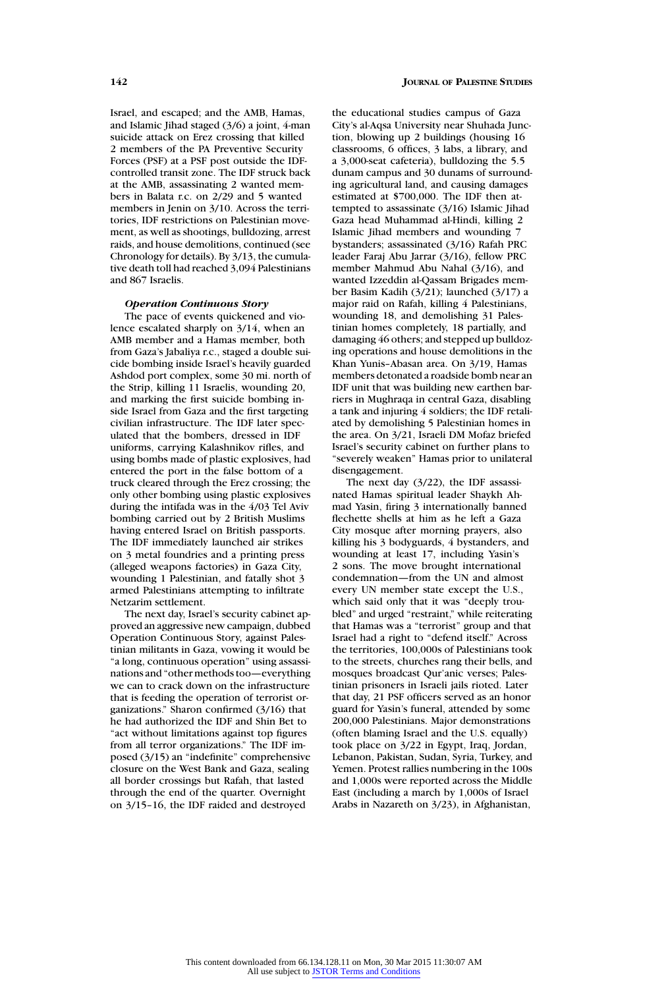Israel, and escaped; and the AMB, Hamas, and Islamic Jihad staged (3/6) a joint, 4-man suicide attack on Erez crossing that killed 2 members of the PA Preventive Security Forces (PSF) at a PSF post outside the IDFcontrolled transit zone. The IDF struck back at the AMB, assassinating 2 wanted members in Balata r.c. on 2/29 and 5 wanted members in Jenin on 3/10. Across the territories, IDF restrictions on Palestinian movement, as well as shootings, bulldozing, arrest raids, and house demolitions, continued (see Chronology for details). By 3/13, the cumulative death toll had reached 3,094 Palestinians and 867 Israelis.

#### *Operation Continuous Story*

The pace of events quickened and violence escalated sharply on 3/14, when an AMB member and a Hamas member, both from Gaza's Jabaliya r.c., staged a double suicide bombing inside Israel's heavily guarded Ashdod port complex, some 30 mi. north of the Strip, killing 11 Israelis, wounding 20, and marking the first suicide bombing inside Israel from Gaza and the first targeting civilian infrastructure. The IDF later speculated that the bombers, dressed in IDF uniforms, carrying Kalashnikov rifles, and using bombs made of plastic explosives, had entered the port in the false bottom of a truck cleared through the Erez crossing; the only other bombing using plastic explosives during the intifada was in the 4/03 Tel Aviv bombing carried out by 2 British Muslims having entered Israel on British passports. The IDF immediately launched air strikes on 3 metal foundries and a printing press (alleged weapons factories) in Gaza City, wounding 1 Palestinian, and fatally shot 3 armed Palestinians attempting to infiltrate Netzarim settlement.

The next day, Israel's security cabinet approved an aggressive new campaign, dubbed Operation Continuous Story, against Palestinian militants in Gaza, vowing it would be "a long, continuous operation" using assassinations and "other methods too—everything we can to crack down on the infrastructure that is feeding the operation of terrorist organizations." Sharon confirmed (3/16) that he had authorized the IDF and Shin Bet to "act without limitations against top figures from all terror organizations." The IDF imposed (3/15) an "indefinite" comprehensive closure on the West Bank and Gaza, sealing all border crossings but Rafah, that lasted through the end of the quarter. Overnight on 3/15–16, the IDF raided and destroyed

the educational studies campus of Gaza City's al-Aqsa University near Shuhada Junction, blowing up 2 buildings (housing 16 classrooms, 6 offices, 3 labs, a library, and a 3,000-seat cafeteria), bulldozing the 5.5 dunam campus and 30 dunams of surrounding agricultural land, and causing damages estimated at \$700,000. The IDF then attempted to assassinate (3/16) Islamic Jihad Gaza head Muhammad al-Hindi, killing 2 Islamic Jihad members and wounding 7 bystanders; assassinated (3/16) Rafah PRC leader Faraj Abu Jarrar (3/16), fellow PRC member Mahmud Abu Nahal (3/16), and wanted Izzeddin al-Qassam Brigades member Basim Kadih (3/21); launched (3/17) a major raid on Rafah, killing 4 Palestinians, wounding 18, and demolishing 31 Palestinian homes completely, 18 partially, and damaging 46 others; and stepped up bulldozing operations and house demolitions in the Khan Yunis–Abasan area. On 3/19, Hamas members detonated a roadside bomb near an IDF unit that was building new earthen barriers in Mughraqa in central Gaza, disabling a tank and injuring 4 soldiers; the IDF retaliated by demolishing 5 Palestinian homes in the area. On 3/21, Israeli DM Mofaz briefed Israel's security cabinet on further plans to "severely weaken" Hamas prior to unilateral disengagement.

The next day (3/22), the IDF assassinated Hamas spiritual leader Shaykh Ahmad Yasin, firing 3 internationally banned flechette shells at him as he left a Gaza City mosque after morning prayers, also killing his 3 bodyguards, 4 bystanders, and wounding at least 17, including Yasin's 2 sons. The move brought international condemnation—from the UN and almost every UN member state except the U.S., which said only that it was "deeply troubled" and urged "restraint," while reiterating that Hamas was a "terrorist" group and that Israel had a right to "defend itself." Across the territories, 100,000s of Palestinians took to the streets, churches rang their bells, and mosques broadcast Qur'anic verses; Palestinian prisoners in Israeli jails rioted. Later that day, 21 PSF officers served as an honor guard for Yasin's funeral, attended by some 200,000 Palestinians. Major demonstrations (often blaming Israel and the U.S. equally) took place on 3/22 in Egypt, Iraq, Jordan, Lebanon, Pakistan, Sudan, Syria, Turkey, and Yemen. Protest rallies numbering in the 100s and 1,000s were reported across the Middle East (including a march by 1,000s of Israel Arabs in Nazareth on 3/23), in Afghanistan,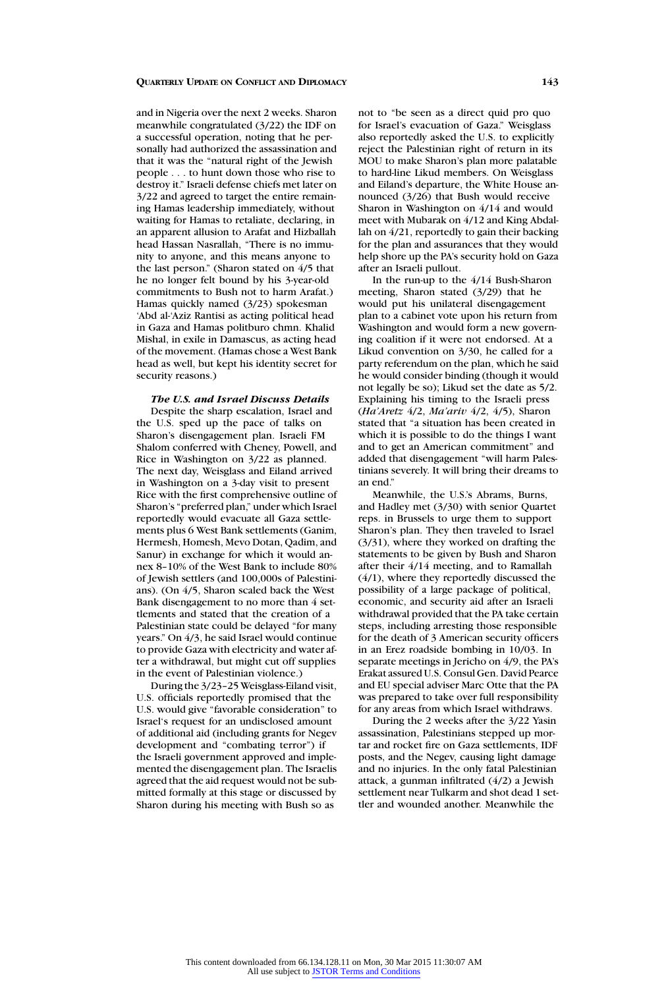and in Nigeria over the next 2 weeks. Sharon meanwhile congratulated (3/22) the IDF on a successful operation, noting that he personally had authorized the assassination and that it was the "natural right of the Jewish people . . . to hunt down those who rise to destroy it." Israeli defense chiefs met later on 3/22 and agreed to target the entire remaining Hamas leadership immediately, without waiting for Hamas to retaliate, declaring, in an apparent allusion to Arafat and Hizballah head Hassan Nasrallah, "There is no immunity to anyone, and this means anyone to the last person." (Sharon stated on 4/5 that he no longer felt bound by his 3-year-old commitments to Bush not to harm Arafat.) Hamas quickly named (3/23) spokesman 'Abd al-'Aziz Rantisi as acting political head in Gaza and Hamas politburo chmn. Khalid Mishal, in exile in Damascus, as acting head of the movement. (Hamas chose a West Bank head as well, but kept his identity secret for security reasons.)

# *The U.S. and Israel Discuss Details*

Despite the sharp escalation, Israel and the U.S. sped up the pace of talks on Sharon's disengagement plan. Israeli FM Shalom conferred with Cheney, Powell, and Rice in Washington on 3/22 as planned. The next day, Weisglass and Eiland arrived in Washington on a 3-day visit to present Rice with the first comprehensive outline of Sharon's "preferred plan," under which Israel reportedly would evacuate all Gaza settlements plus 6 West Bank settlements (Ganim, Hermesh, Homesh, Mevo Dotan, Qadim, and Sanur) in exchange for which it would annex 8–10% of the West Bank to include 80% of Jewish settlers (and 100,000s of Palestinians). (On 4/5, Sharon scaled back the West Bank disengagement to no more than 4 settlements and stated that the creation of a Palestinian state could be delayed "for many years." On 4/3, he said Israel would continue to provide Gaza with electricity and water after a withdrawal, but might cut off supplies in the event of Palestinian violence.)

During the 3/23–25 Weisglass-Eiland visit, U.S. officials reportedly promised that the U.S. would give "favorable consideration" to Israel's request for an undisclosed amount of additional aid (including grants for Negev development and "combating terror") if the Israeli government approved and implemented the disengagement plan. The Israelis agreed that the aid request would not be submitted formally at this stage or discussed by Sharon during his meeting with Bush so as

not to "be seen as a direct quid pro quo for Israel's evacuation of Gaza." Weisglass also reportedly asked the U.S. to explicitly reject the Palestinian right of return in its MOU to make Sharon's plan more palatable to hard-line Likud members. On Weisglass and Eiland's departure, the White House announced (3/26) that Bush would receive Sharon in Washington on 4/14 and would meet with Mubarak on 4/12 and King Abdallah on 4/21, reportedly to gain their backing for the plan and assurances that they would help shore up the PA's security hold on Gaza after an Israeli pullout.

In the run-up to the 4/14 Bush-Sharon meeting, Sharon stated (3/29) that he would put his unilateral disengagement plan to a cabinet vote upon his return from Washington and would form a new governing coalition if it were not endorsed. At a Likud convention on 3/30, he called for a party referendum on the plan, which he said he would consider binding (though it would not legally be so); Likud set the date as 5/2. Explaining his timing to the Israeli press (*Ha'Aretz* 4/2, *Ma'ariv* 4/2, 4/5), Sharon stated that "a situation has been created in which it is possible to do the things I want and to get an American commitment" and added that disengagement "will harm Palestinians severely. It will bring their dreams to an end."

Meanwhile, the U.S.'s Abrams, Burns, and Hadley met (3/30) with senior Quartet reps. in Brussels to urge them to support Sharon's plan. They then traveled to Israel (3/31), where they worked on drafting the statements to be given by Bush and Sharon after their 4/14 meeting, and to Ramallah (4/1), where they reportedly discussed the possibility of a large package of political, economic, and security aid after an Israeli withdrawal provided that the PA take certain steps, including arresting those responsible for the death of 3 American security officers in an Erez roadside bombing in 10/03. In separate meetings in Jericho on 4/9, the PA's Erakat assured U.S. Consul Gen. David Pearce and EU special adviser Marc Otte that the PA was prepared to take over full responsibility for any areas from which Israel withdraws.

During the 2 weeks after the 3/22 Yasin assassination, Palestinians stepped up mortar and rocket fire on Gaza settlements, IDF posts, and the Negev, causing light damage and no injuries. In the only fatal Palestinian attack, a gunman infiltrated (4/2) a Jewish settlement near Tulkarm and shot dead 1 settler and wounded another. Meanwhile the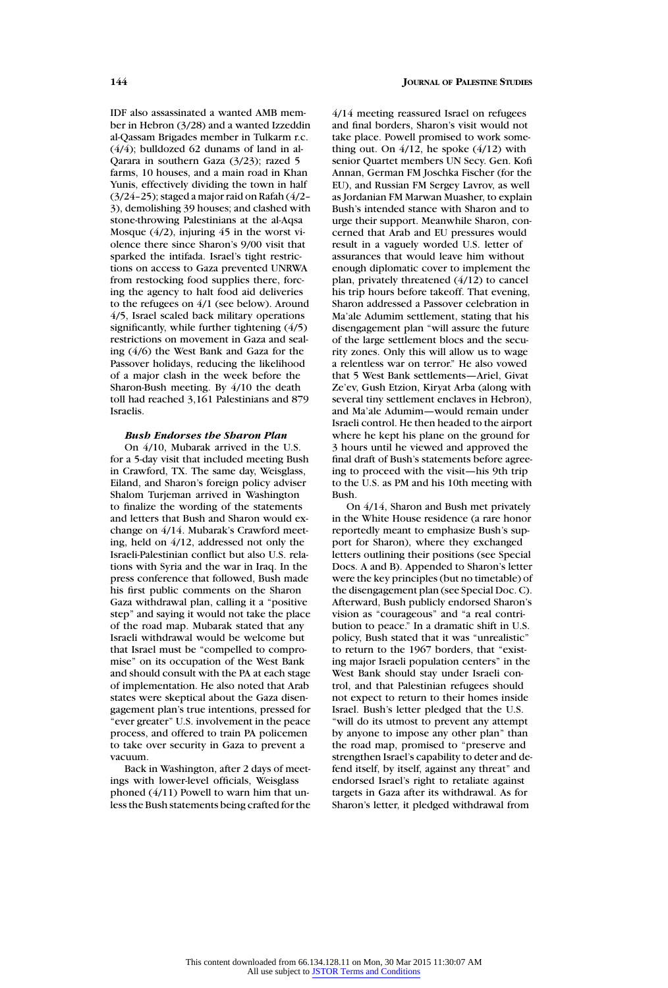IDF also assassinated a wanted AMB member in Hebron (3/28) and a wanted Izzeddin al-Qassam Brigades member in Tulkarm r.c.  $(4/4)$ : bulldozed 62 dunams of land in al-Qarara in southern Gaza (3/23); razed 5 farms, 10 houses, and a main road in Khan Yunis, effectively dividing the town in half (3/24–25); staged a major raid on Rafah (4/2– 3), demolishing 39 houses; and clashed with stone-throwing Palestinians at the al-Aqsa Mosque  $(4/2)$ , injuring  $45$  in the worst violence there since Sharon's 9/00 visit that sparked the intifada. Israel's tight restrictions on access to Gaza prevented UNRWA from restocking food supplies there, forcing the agency to halt food aid deliveries to the refugees on 4/1 (see below). Around 4/5, Israel scaled back military operations significantly, while further tightening (4/5) restrictions on movement in Gaza and sealing (4/6) the West Bank and Gaza for the Passover holidays, reducing the likelihood of a major clash in the week before the Sharon-Bush meeting. By 4/10 the death toll had reached 3,161 Palestinians and 879 Israelis.

#### *Bush Endorses the Sharon Plan*

On 4/10, Mubarak arrived in the U.S. for a 5-day visit that included meeting Bush in Crawford, TX. The same day, Weisglass, Eiland, and Sharon's foreign policy adviser Shalom Turjeman arrived in Washington to finalize the wording of the statements and letters that Bush and Sharon would exchange on 4/14. Mubarak's Crawford meeting, held on 4/12, addressed not only the Israeli-Palestinian conflict but also U.S. relations with Syria and the war in Iraq. In the press conference that followed, Bush made his first public comments on the Sharon Gaza withdrawal plan, calling it a "positive step" and saying it would not take the place of the road map. Mubarak stated that any Israeli withdrawal would be welcome but that Israel must be "compelled to compromise" on its occupation of the West Bank and should consult with the PA at each stage of implementation. He also noted that Arab states were skeptical about the Gaza disengagement plan's true intentions, pressed for "ever greater" U.S. involvement in the peace process, and offered to train PA policemen to take over security in Gaza to prevent a vacuum.

Back in Washington, after 2 days of meetings with lower-level officials, Weisglass phoned (4/11) Powell to warn him that unless the Bush statements being crafted for the 4/14 meeting reassured Israel on refugees and final borders, Sharon's visit would not take place. Powell promised to work something out. On  $4/12$ , he spoke  $(4/12)$  with senior Quartet members UN Secy. Gen. Kofi Annan, German FM Joschka Fischer (for the EU), and Russian FM Sergey Lavrov, as well as Jordanian FM Marwan Muasher, to explain Bush's intended stance with Sharon and to urge their support. Meanwhile Sharon, concerned that Arab and EU pressures would result in a vaguely worded U.S. letter of assurances that would leave him without enough diplomatic cover to implement the plan, privately threatened (4/12) to cancel his trip hours before takeoff. That evening, Sharon addressed a Passover celebration in Ma'ale Adumim settlement, stating that his disengagement plan "will assure the future of the large settlement blocs and the security zones. Only this will allow us to wage a relentless war on terror." He also vowed that 5 West Bank settlements—Ariel, Givat Ze'ev, Gush Etzion, Kiryat Arba (along with several tiny settlement enclaves in Hebron), and Ma'ale Adumim—would remain under Israeli control. He then headed to the airport where he kept his plane on the ground for 3 hours until he viewed and approved the final draft of Bush's statements before agreeing to proceed with the visit—his 9th trip to the U.S. as PM and his 10th meeting with Bush.

On 4/14, Sharon and Bush met privately in the White House residence (a rare honor reportedly meant to emphasize Bush's support for Sharon), where they exchanged letters outlining their positions (see Special Docs. A and B). Appended to Sharon's letter were the key principles (but no timetable) of the disengagement plan (see Special Doc. C). Afterward, Bush publicly endorsed Sharon's vision as "courageous" and "a real contribution to peace." In a dramatic shift in U.S. policy, Bush stated that it was "unrealistic" to return to the 1967 borders, that "existing major Israeli population centers" in the West Bank should stay under Israeli control, and that Palestinian refugees should not expect to return to their homes inside Israel. Bush's letter pledged that the U.S. "will do its utmost to prevent any attempt by anyone to impose any other plan" than the road map, promised to "preserve and strengthen Israel's capability to deter and defend itself, by itself, against any threat" and endorsed Israel's right to retaliate against targets in Gaza after its withdrawal. As for Sharon's letter, it pledged withdrawal from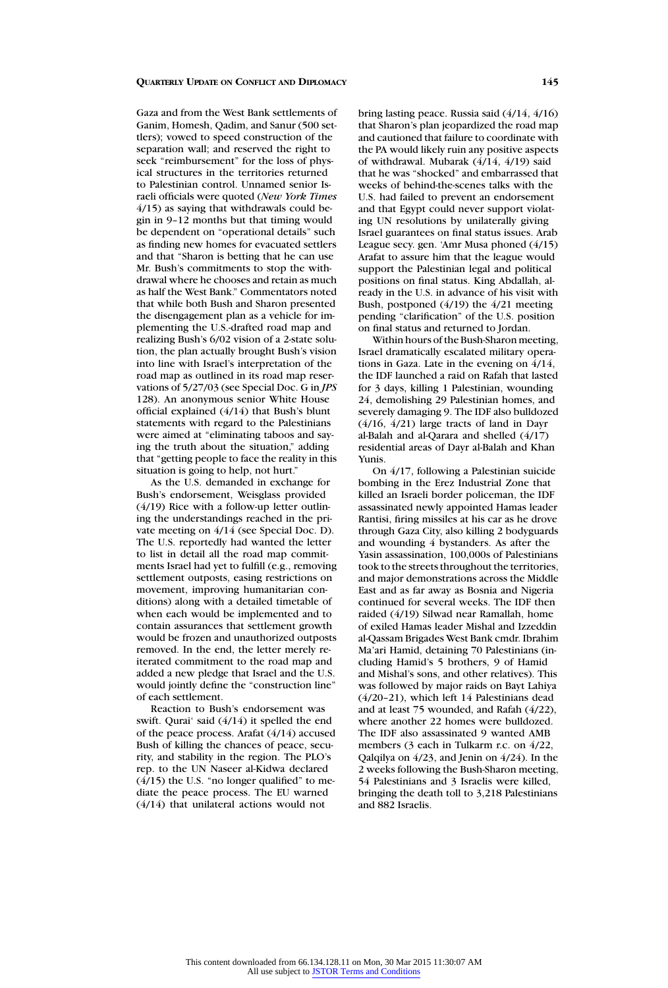Gaza and from the West Bank settlements of Ganim, Homesh, Qadim, and Sanur (500 settlers); vowed to speed construction of the separation wall; and reserved the right to seek "reimbursement" for the loss of physical structures in the territories returned to Palestinian control. Unnamed senior Israeli officials were quoted (*New York Times* 4/15) as saying that withdrawals could begin in 9–12 months but that timing would be dependent on "operational details" such as finding new homes for evacuated settlers and that "Sharon is betting that he can use Mr. Bush's commitments to stop the withdrawal where he chooses and retain as much as half the West Bank." Commentators noted that while both Bush and Sharon presented the disengagement plan as a vehicle for implementing the U.S.-drafted road map and realizing Bush's 6/02 vision of a 2-state solution, the plan actually brought Bush's vision into line with Israel's interpretation of the road map as outlined in its road map reservations of 5/27/03 (see Special Doc. G in *JPS* 128). An anonymous senior White House official explained (4/14) that Bush's blunt statements with regard to the Palestinians were aimed at "eliminating taboos and saying the truth about the situation," adding that "getting people to face the reality in this situation is going to help, not hurt."

As the U.S. demanded in exchange for Bush's endorsement, Weisglass provided (4/19) Rice with a follow-up letter outlining the understandings reached in the private meeting on 4/14 (see Special Doc. D). The U.S. reportedly had wanted the letter to list in detail all the road map commitments Israel had yet to fulfill (e.g., removing settlement outposts, easing restrictions on movement, improving humanitarian conditions) along with a detailed timetable of when each would be implemented and to contain assurances that settlement growth would be frozen and unauthorized outposts removed. In the end, the letter merely reiterated commitment to the road map and added a new pledge that Israel and the U.S. would jointly define the "construction line" of each settlement.

Reaction to Bush's endorsement was swift. Qurai' said (4/14) it spelled the end of the peace process. Arafat (4/14) accused Bush of killing the chances of peace, security, and stability in the region. The PLO's rep. to the UN Naseer al-Kidwa declared  $(4/15)$  the U.S. "no longer qualified" to mediate the peace process. The EU warned (4/14) that unilateral actions would not

bring lasting peace. Russia said (4/14, 4/16) that Sharon's plan jeopardized the road map and cautioned that failure to coordinate with the PA would likely ruin any positive aspects of withdrawal. Mubarak (4/14, 4/19) said that he was "shocked" and embarrassed that weeks of behind-the-scenes talks with the U.S. had failed to prevent an endorsement and that Egypt could never support violating UN resolutions by unilaterally giving Israel guarantees on final status issues. Arab League secy. gen. 'Amr Musa phoned (4/15) Arafat to assure him that the league would support the Palestinian legal and political positions on final status. King Abdallah, already in the U.S. in advance of his visit with Bush, postponed (4/19) the 4/21 meeting pending "clarification" of the U.S. position on final status and returned to Jordan.

Within hours of the Bush-Sharon meeting, Israel dramatically escalated military operations in Gaza. Late in the evening on  $4/14$ , the IDF launched a raid on Rafah that lasted for 3 days, killing 1 Palestinian, wounding 24, demolishing 29 Palestinian homes, and severely damaging 9. The IDF also bulldozed (4/16, 4/21) large tracts of land in Dayr al-Balah and al-Qarara and shelled  $(4/17)$ residential areas of Dayr al-Balah and Khan Yunis.

On 4/17, following a Palestinian suicide bombing in the Erez Industrial Zone that killed an Israeli border policeman, the IDF assassinated newly appointed Hamas leader Rantisi, firing missiles at his car as he drove through Gaza City, also killing 2 bodyguards and wounding 4 bystanders. As after the Yasin assassination, 100,000s of Palestinians took to the streets throughout the territories, and major demonstrations across the Middle East and as far away as Bosnia and Nigeria continued for several weeks. The IDF then raided (4/19) Silwad near Ramallah, home of exiled Hamas leader Mishal and Izzeddin al-Qassam Brigades West Bank cmdr. Ibrahim Ma'ari Hamid, detaining 70 Palestinians (including Hamid's 5 brothers, 9 of Hamid and Mishal's sons, and other relatives). This was followed by major raids on Bayt Lahiya (4/20–21), which left 14 Palestinians dead and at least 75 wounded, and Rafah (4/22), where another 22 homes were bulldozed. The IDF also assassinated 9 wanted AMB members (3 each in Tulkarm r.c. on  $4/22$ , Qalqilya on 4/23, and Jenin on 4/24). In the 2 weeks following the Bush-Sharon meeting, 54 Palestinians and 3 Israelis were killed, bringing the death toll to 3,218 Palestinians and 882 Israelis.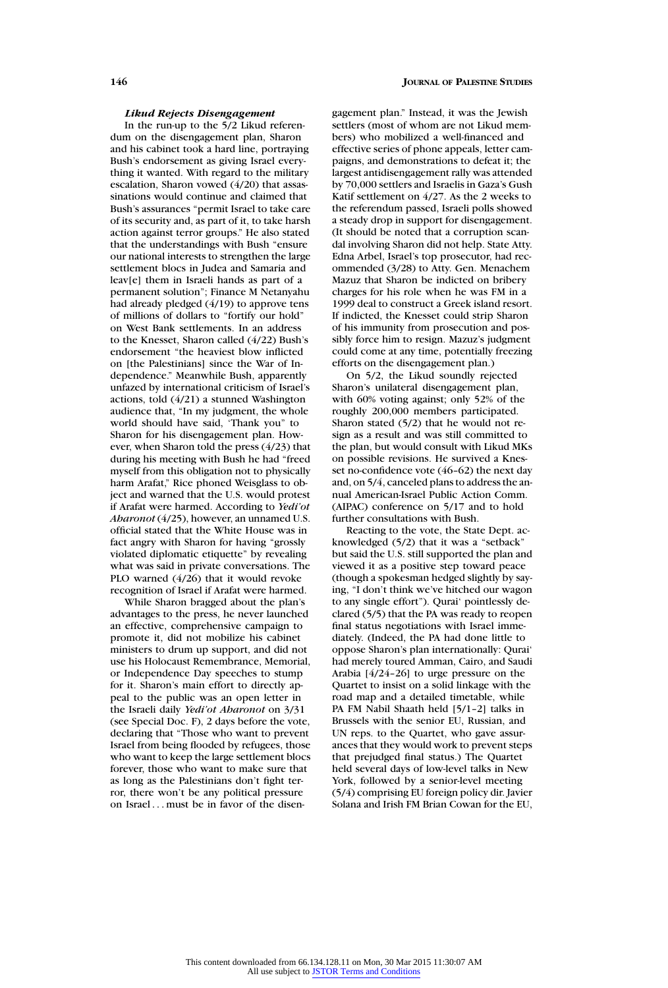## *Likud Rejects Disengagement*

In the run-up to the 5/2 Likud referendum on the disengagement plan, Sharon and his cabinet took a hard line, portraying Bush's endorsement as giving Israel everything it wanted. With regard to the military escalation, Sharon vowed (4/20) that assassinations would continue and claimed that Bush's assurances "permit Israel to take care of its security and, as part of it, to take harsh action against terror groups." He also stated that the understandings with Bush "ensure our national interests to strengthen the large settlement blocs in Judea and Samaria and leav[e] them in Israeli hands as part of a permanent solution"; Finance M Netanyahu had already pledged (4/19) to approve tens of millions of dollars to "fortify our hold" on West Bank settlements. In an address to the Knesset, Sharon called (4/22) Bush's endorsement "the heaviest blow inflicted on [the Palestinians] since the War of Independence." Meanwhile Bush, apparently unfazed by international criticism of Israel's actions, told (4/21) a stunned Washington audience that, "In my judgment, the whole world should have said, 'Thank you" to Sharon for his disengagement plan. However, when Sharon told the press (4/23) that during his meeting with Bush he had "freed myself from this obligation not to physically harm Arafat," Rice phoned Weisglass to object and warned that the U.S. would protest if Arafat were harmed. According to *Yedi'ot Aharonot* (4/25), however, an unnamed U.S. official stated that the White House was in fact angry with Sharon for having "grossly violated diplomatic etiquette" by revealing what was said in private conversations. The PLO warned (4/26) that it would revoke recognition of Israel if Arafat were harmed.

While Sharon bragged about the plan's advantages to the press, he never launched an effective, comprehensive campaign to promote it, did not mobilize his cabinet ministers to drum up support, and did not use his Holocaust Remembrance, Memorial, or Independence Day speeches to stump for it. Sharon's main effort to directly appeal to the public was an open letter in the Israeli daily *Yedi'ot Aharonot* on 3/31 (see Special Doc. F), 2 days before the vote, declaring that "Those who want to prevent Israel from being flooded by refugees, those who want to keep the large settlement blocs forever, those who want to make sure that as long as the Palestinians don't fight terror, there won't be any political pressure on Israel ... must be in favor of the disengagement plan." Instead, it was the Jewish settlers (most of whom are not Likud members) who mobilized a well-financed and effective series of phone appeals, letter campaigns, and demonstrations to defeat it; the largest antidisengagement rally was attended by 70,000 settlers and Israelis in Gaza's Gush Katif settlement on 4/27. As the 2 weeks to the referendum passed, Israeli polls showed a steady drop in support for disengagement. (It should be noted that a corruption scandal involving Sharon did not help. State Atty. Edna Arbel, Israel's top prosecutor, had recommended (3/28) to Atty. Gen. Menachem Mazuz that Sharon be indicted on bribery charges for his role when he was FM in a 1999 deal to construct a Greek island resort. If indicted, the Knesset could strip Sharon of his immunity from prosecution and possibly force him to resign. Mazuz's judgment could come at any time, potentially freezing efforts on the disengagement plan.)

On 5/2, the Likud soundly rejected Sharon's unilateral disengagement plan, with 60% voting against; only 52% of the roughly 200,000 members participated. Sharon stated (5/2) that he would not resign as a result and was still committed to the plan, but would consult with Likud MKs on possible revisions. He survived a Knesset no-confidence vote (46–62) the next day and, on 5/4, canceled plans to address the annual American-Israel Public Action Comm. (AIPAC) conference on 5/17 and to hold further consultations with Bush.

Reacting to the vote, the State Dept. acknowledged (5/2) that it was a "setback" but said the U.S. still supported the plan and viewed it as a positive step toward peace (though a spokesman hedged slightly by saying, "I don't think we've hitched our wagon to any single effort"). Qurai' pointlessly declared (5/5) that the PA was ready to reopen final status negotiations with Israel immediately. (Indeed, the PA had done little to oppose Sharon's plan internationally: Qurai' had merely toured Amman, Cairo, and Saudi Arabia [4/24–26] to urge pressure on the Quartet to insist on a solid linkage with the road map and a detailed timetable, while PA FM Nabil Shaath held [5/1–2] talks in Brussels with the senior EU, Russian, and UN reps. to the Quartet, who gave assurances that they would work to prevent steps that prejudged final status.) The Quartet held several days of low-level talks in New York, followed by a senior-level meeting (5/4) comprising EU foreign policy dir. Javier Solana and Irish FM Brian Cowan for the EU,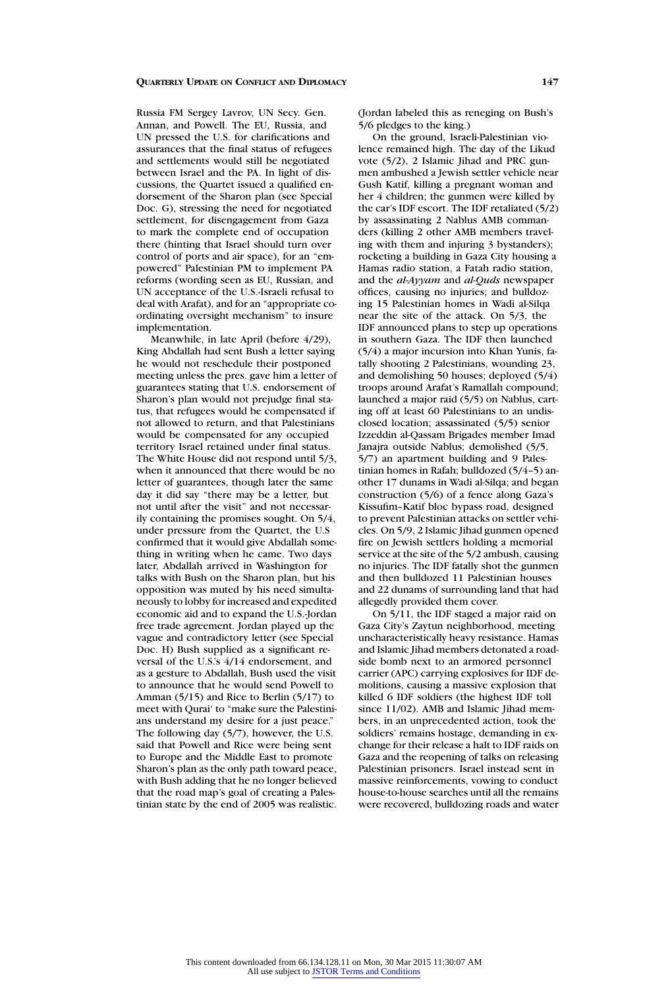Russia FM Sergey Lavrov, UN Secy. Gen. Annan, and Powell. The EU, Russia, and UN pressed the U.S. for clarifications and assurances that the final status of refugees and settlements would still be negotiated between Israel and the PA. In light of discussions, the Quartet issued a qualified endorsement of the Sharon plan (see Special Doc. G), stressing the need for negotiated settlement, for disengagement from Gaza to mark the complete end of occupation there (hinting that Israel should turn over control of ports and air space), for an "empowered" Palestinian PM to implement PA reforms (wording seen as EU, Russian, and UN acceptance of the U.S.-Israeli refusal to deal with Arafat), and for an "appropriate coordinating oversight mechanism" to insure implementation.

Meanwhile, in late April (before 4/29), King Abdallah had sent Bush a letter saying he would not reschedule their postponed meeting unless the pres. gave him a letter of guarantees stating that U.S. endorsement of Sharon's plan would not prejudge final status, that refugees would be compensated if not allowed to return, and that Palestinians would be compensated for any occupied territory Israel retained under final status. The White House did not respond until 5/3, when it announced that there would be no letter of guarantees, though later the same day it did say "there may be a letter, but not until after the visit" and not necessarily containing the promises sought. On 5/4, under pressure from the Quartet, the U.S confirmed that it would give Abdallah something in writing when he came. Two days later, Abdallah arrived in Washington for talks with Bush on the Sharon plan, but his opposition was muted by his need simultaneously to lobby for increased and expedited economic aid and to expand the U.S.-Jordan free trade agreement. Jordan played up the vague and contradictory letter (see Special Doc. H) Bush supplied as a significant reversal of the U.S.'s 4/14 endorsement, and as a gesture to Abdallah, Bush used the visit to announce that he would send Powell to Amman (5/15) and Rice to Berlin (5/17) to meet with Qurai' to "make sure the Palestinians understand my desire for a just peace." The following day (5/7), however, the U.S. said that Powell and Rice were being sent to Europe and the Middle East to promote Sharon's plan as the only path toward peace, with Bush adding that he no longer believed that the road map's goal of creating a Palestinian state by the end of 2005 was realistic. (Jordan labeled this as reneging on Bush's 5/6 pledges to the king.)

On the ground, Israeli-Palestinian violence remained high. The day of the Likud vote (5/2), 2 Islamic Jihad and PRC gunmen ambushed a Jewish settler vehicle near Gush Katif, killing a pregnant woman and her 4 children; the gunmen were killed by the car's IDF escort. The IDF retaliated (5/2) by assassinating 2 Nablus AMB commanders (killing 2 other AMB members traveling with them and injuring 3 bystanders); rocketing a building in Gaza City housing a Hamas radio station, a Fatah radio station, and the *al-Ayyam* and *al-Quds* newspaper offices, causing no injuries; and bulldozing 15 Palestinian homes in Wadi al-Silqa near the site of the attack. On 5/3, the IDF announced plans to step up operations in southern Gaza. The IDF then launched (5/4) a major incursion into Khan Yunis, fatally shooting 2 Palestinians, wounding 23, and demolishing 50 houses; deployed (5/4) troops around Arafat's Ramallah compound; launched a major raid (5/5) on Nablus, carting off at least 60 Palestinians to an undisclosed location; assassinated (5/5) senior Izzeddin al-Qassam Brigades member Imad Janajra outside Nablus; demolished (5/5, 5/7) an apartment building and 9 Palestinian homes in Rafah; bulldozed (5/4–5) another 17 dunams in Wadi al-Silqa; and began construction (5/6) of a fence along Gaza's Kissufim–Katif bloc bypass road, designed to prevent Palestinian attacks on settler vehicles. On 5/9, 2 Islamic Jihad gunmen opened fire on Jewish settlers holding a memorial service at the site of the 5/2 ambush, causing no injuries. The IDF fatally shot the gunmen and then bulldozed 11 Palestinian houses and 22 dunams of surrounding land that had allegedly provided them cover.

On 5/11, the IDF staged a major raid on Gaza City's Zaytun neighborhood, meeting uncharacteristically heavy resistance. Hamas and Islamic Jihad members detonated a roadside bomb next to an armored personnel carrier (APC) carrying explosives for IDF demolitions, causing a massive explosion that killed 6 IDF soldiers (the highest IDF toll since 11/02). AMB and Islamic Jihad members, in an unprecedented action, took the soldiers' remains hostage, demanding in exchange for their release a halt to IDF raids on Gaza and the reopening of talks on releasing Palestinian prisoners. Israel instead sent in massive reinforcements, vowing to conduct house-to-house searches until all the remains were recovered, bulldozing roads and water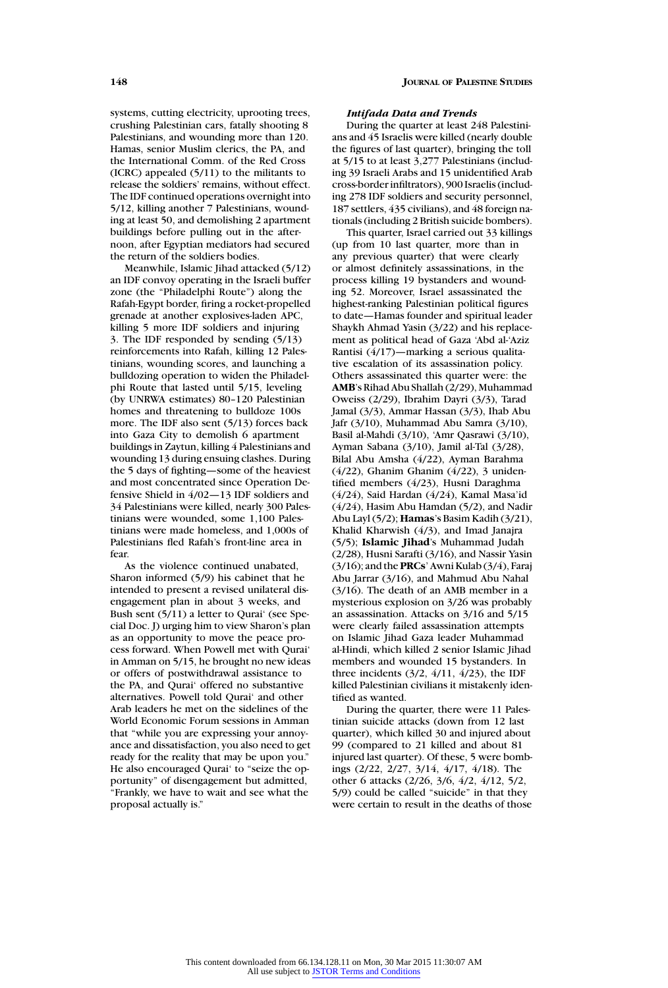systems, cutting electricity, uprooting trees, crushing Palestinian cars, fatally shooting 8 Palestinians, and wounding more than 120. Hamas, senior Muslim clerics, the PA, and the International Comm. of the Red Cross (ICRC) appealed (5/11) to the militants to release the soldiers' remains, without effect. The IDF continued operations overnight into 5/12, killing another 7 Palestinians, wounding at least 50, and demolishing 2 apartment buildings before pulling out in the afternoon, after Egyptian mediators had secured the return of the soldiers bodies.

Meanwhile, Islamic Jihad attacked (5/12) an IDF convoy operating in the Israeli buffer zone (the "Philadelphi Route") along the Rafah-Egypt border, firing a rocket-propelled grenade at another explosives-laden APC, killing 5 more IDF soldiers and injuring 3. The IDF responded by sending (5/13) reinforcements into Rafah, killing 12 Palestinians, wounding scores, and launching a bulldozing operation to widen the Philadelphi Route that lasted until 5/15, leveling (by UNRWA estimates) 80–120 Palestinian homes and threatening to bulldoze 100s more. The IDF also sent (5/13) forces back into Gaza City to demolish 6 apartment buildings in Zaytun, killing 4 Palestinians and wounding 13 during ensuing clashes. During the 5 days of fighting—some of the heaviest and most concentrated since Operation Defensive Shield in 4/02—13 IDF soldiers and 34 Palestinians were killed, nearly 300 Palestinians were wounded, some 1,100 Palestinians were made homeless, and 1,000s of Palestinians fled Rafah's front-line area in fear.

As the violence continued unabated, Sharon informed (5/9) his cabinet that he intended to present a revised unilateral disengagement plan in about 3 weeks, and Bush sent (5/11) a letter to Qurai' (see Special Doc. J) urging him to view Sharon's plan as an opportunity to move the peace process forward. When Powell met with Qurai' in Amman on 5/15, he brought no new ideas or offers of postwithdrawal assistance to the PA, and Qurai' offered no substantive alternatives. Powell told Qurai' and other Arab leaders he met on the sidelines of the World Economic Forum sessions in Amman that "while you are expressing your annoyance and dissatisfaction, you also need to get ready for the reality that may be upon you." He also encouraged Qurai' to "seize the opportunity" of disengagement but admitted, "Frankly, we have to wait and see what the proposal actually is."

#### *Intifada Data and Trends*

During the quarter at least 248 Palestinians and 45 Israelis were killed (nearly double the figures of last quarter), bringing the toll at 5/15 to at least 3,277 Palestinians (including 39 Israeli Arabs and 15 unidentified Arab cross-border infiltrators), 900 Israelis (including 278 IDF soldiers and security personnel, 187 settlers, 435 civilians), and 48 foreign nationals (including 2 British suicide bombers).

This quarter, Israel carried out 33 killings (up from 10 last quarter, more than in any previous quarter) that were clearly or almost definitely assassinations, in the process killing 19 bystanders and wounding 52. Moreover, Israel assassinated the highest-ranking Palestinian political figures to date—Hamas founder and spiritual leader Shaykh Ahmad Yasin (3/22) and his replacement as political head of Gaza 'Abd al-'Aziz Rantisi (4/17)—marking a serious qualitative escalation of its assassination policy. Others assassinated this quarter were: the **AMB**'s Rihad Abu Shallah (2/29), Muhammad Oweiss (2/29), Ibrahim Dayri (3/3), Tarad Jamal (3/3), Ammar Hassan (3/3), Ihab Abu Jafr (3/10), Muhammad Abu Samra (3/10), Basil al-Mahdi (3/10), 'Amr Qasrawi (3/10), Ayman Sabana (3/10), Jamil al-Tal (3/28), Bilal Abu Amsha (4/22), Ayman Barahma (4/22), Ghanim Ghanim (4/22), 3 unidentified members (4/23), Husni Daraghma (4/24), Said Hardan (4/24), Kamal Masa'id (4/24), Hasim Abu Hamdan (5/2), and Nadir Abu Layl (5/2); **Hamas**'s Basim Kadih (3/21), Khalid Kharwish (4/3), and Imad Janajra (5/5); **Islamic Jihad**'s Muhammad Judah (2/28), Husni Sarafti (3/16), and Nassir Yasin (3/16); and the **PRCs**' Awni Kulab (3/4), Faraj Abu Jarrar (3/16), and Mahmud Abu Nahal (3/16). The death of an AMB member in a mysterious explosion on 3/26 was probably an assassination. Attacks on 3/16 and 5/15 were clearly failed assassination attempts on Islamic Jihad Gaza leader Muhammad al-Hindi, which killed 2 senior Islamic Jihad members and wounded 15 bystanders. In three incidents (3/2, 4/11, 4/23), the IDF killed Palestinian civilians it mistakenly identified as wanted.

During the quarter, there were 11 Palestinian suicide attacks (down from 12 last quarter), which killed 30 and injured about 99 (compared to 21 killed and about 81 injured last quarter). Of these, 5 were bombings (2/22, 2/27, 3/14, 4/17, 4/18). The other 6 attacks (2/26, 3/6, 4/2, 4/12, 5/2, 5/9) could be called "suicide" in that they were certain to result in the deaths of those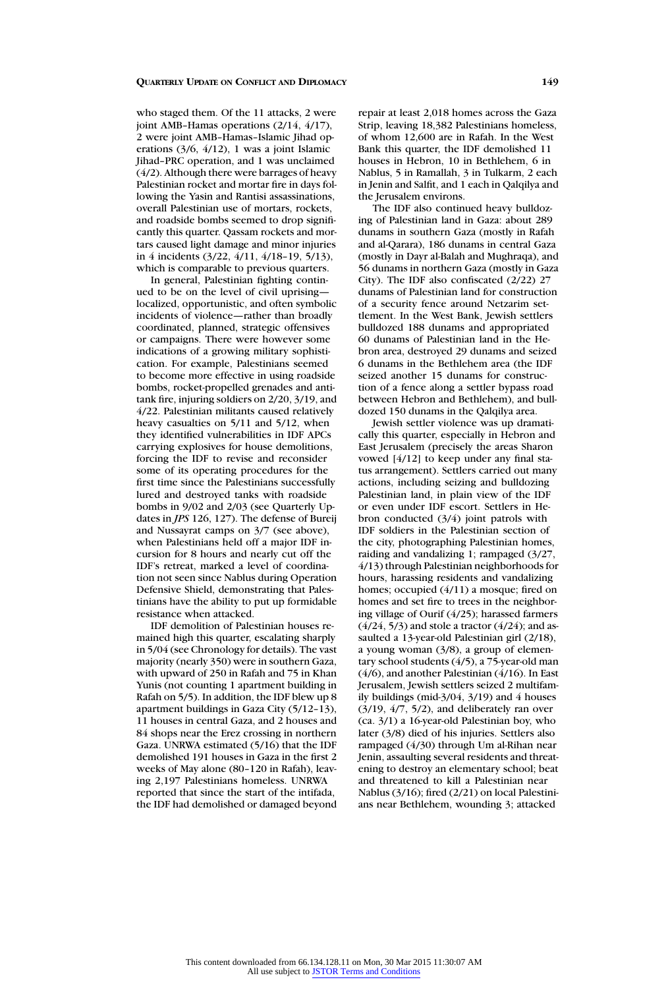who staged them. Of the 11 attacks, 2 were joint AMB–Hamas operations (2/14, 4/17), 2 were joint AMB–Hamas–Islamic Jihad operations (3/6, 4/12), 1 was a joint Islamic Jihad–PRC operation, and 1 was unclaimed (4/2). Although there were barrages of heavy Palestinian rocket and mortar fire in days following the Yasin and Rantisi assassinations, overall Palestinian use of mortars, rockets, and roadside bombs seemed to drop significantly this quarter. Qassam rockets and mortars caused light damage and minor injuries in 4 incidents (3/22, 4/11, 4/18–19, 5/13), which is comparable to previous quarters.

In general, Palestinian fighting continued to be on the level of civil uprising localized, opportunistic, and often symbolic incidents of violence—rather than broadly coordinated, planned, strategic offensives or campaigns. There were however some indications of a growing military sophistication. For example, Palestinians seemed to become more effective in using roadside bombs, rocket-propelled grenades and antitank fire, injuring soldiers on 2/20, 3/19, and 4/22. Palestinian militants caused relatively heavy casualties on 5/11 and 5/12, when they identified vulnerabilities in IDF APCs carrying explosives for house demolitions, forcing the IDF to revise and reconsider some of its operating procedures for the first time since the Palestinians successfully lured and destroyed tanks with roadside bombs in 9/02 and 2/03 (see Quarterly Updates in *JPS* 126, 127). The defense of Bureij and Nussayrat camps on 3/7 (see above), when Palestinians held off a major IDF incursion for 8 hours and nearly cut off the IDF's retreat, marked a level of coordination not seen since Nablus during Operation Defensive Shield, demonstrating that Palestinians have the ability to put up formidable resistance when attacked.

IDF demolition of Palestinian houses remained high this quarter, escalating sharply in 5/04 (see Chronology for details). The vast majority (nearly 350) were in southern Gaza, with upward of 250 in Rafah and 75 in Khan Yunis (not counting 1 apartment building in Rafah on 5/5). In addition, the IDF blew up 8 apartment buildings in Gaza City (5/12–13), 11 houses in central Gaza, and 2 houses and 84 shops near the Erez crossing in northern Gaza. UNRWA estimated (5/16) that the IDF demolished 191 houses in Gaza in the first 2 weeks of May alone (80–120 in Rafah), leaving 2,197 Palestinians homeless. UNRWA reported that since the start of the intifada, the IDF had demolished or damaged beyond repair at least 2,018 homes across the Gaza Strip, leaving 18,382 Palestinians homeless, of whom 12,600 are in Rafah. In the West Bank this quarter, the IDF demolished 11 houses in Hebron, 10 in Bethlehem, 6 in Nablus, 5 in Ramallah, 3 in Tulkarm, 2 each in Jenin and Salfit, and 1 each in Qalqilya and the Jerusalem environs.

The IDF also continued heavy bulldozing of Palestinian land in Gaza: about 289 dunams in southern Gaza (mostly in Rafah and al-Qarara), 186 dunams in central Gaza (mostly in Dayr al-Balah and Mughraqa), and 56 dunams in northern Gaza (mostly in Gaza City). The IDF also confiscated (2/22) 27 dunams of Palestinian land for construction of a security fence around Netzarim settlement. In the West Bank, Jewish settlers bulldozed 188 dunams and appropriated 60 dunams of Palestinian land in the Hebron area, destroyed 29 dunams and seized 6 dunams in the Bethlehem area (the IDF seized another 15 dunams for construction of a fence along a settler bypass road between Hebron and Bethlehem), and bulldozed 150 dunams in the Qalqilya area.

Jewish settler violence was up dramatically this quarter, especially in Hebron and East Jerusalem (precisely the areas Sharon vowed [4/12] to keep under any final status arrangement). Settlers carried out many actions, including seizing and bulldozing Palestinian land, in plain view of the IDF or even under IDF escort. Settlers in Hebron conducted (3/4) joint patrols with IDF soldiers in the Palestinian section of the city, photographing Palestinian homes, raiding and vandalizing 1; rampaged (3/27, 4/13) through Palestinian neighborhoods for hours, harassing residents and vandalizing homes; occupied (4/11) a mosque; fired on homes and set fire to trees in the neighboring village of Ourif (4/25); harassed farmers  $(4/24, 5/3)$  and stole a tractor  $(4/24)$ ; and assaulted a 13-year-old Palestinian girl (2/18), a young woman (3/8), a group of elementary school students (4/5), a 75-year-old man (4/6), and another Palestinian (4/16). In East Jerusalem, Jewish settlers seized 2 multifamily buildings (mid- $3/04$ ,  $3/19$ ) and 4 houses (3/19, 4/7, 5/2), and deliberately ran over (ca. 3/1) a 16-year-old Palestinian boy, who later (3/8) died of his injuries. Settlers also rampaged (4/30) through Um al-Rihan near Jenin, assaulting several residents and threatening to destroy an elementary school; beat and threatened to kill a Palestinian near Nablus (3/16); fired (2/21) on local Palestinians near Bethlehem, wounding 3; attacked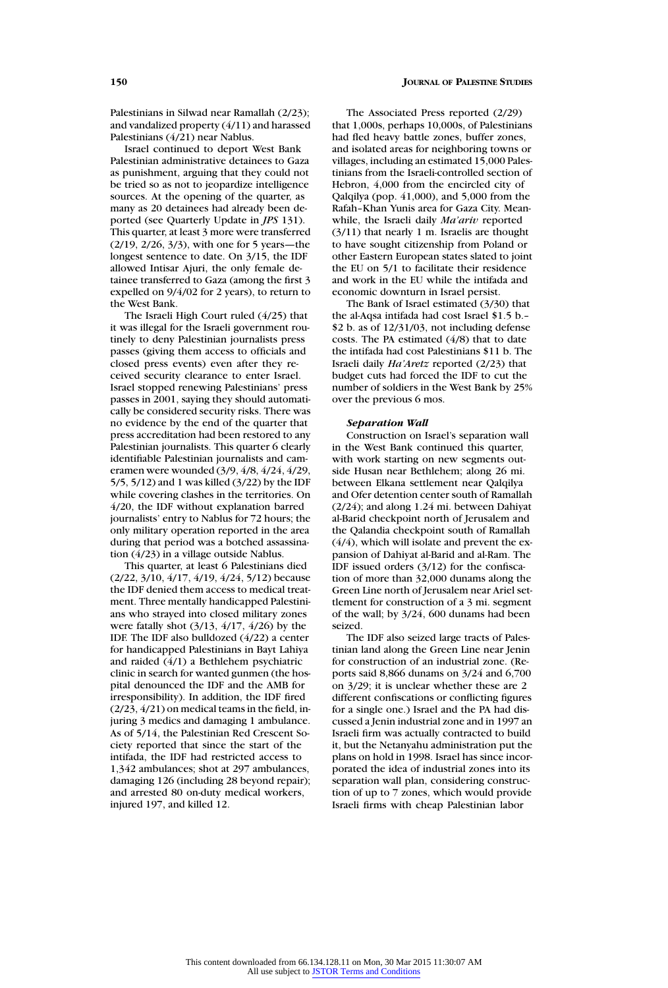Palestinians in Silwad near Ramallah (2/23); and vandalized property (4/11) and harassed Palestinians (4/21) near Nablus.

Israel continued to deport West Bank Palestinian administrative detainees to Gaza as punishment, arguing that they could not be tried so as not to jeopardize intelligence sources. At the opening of the quarter, as many as 20 detainees had already been deported (see Quarterly Update in *JPS* 131). This quarter, at least 3 more were transferred (2/19, 2/26, 3/3), with one for 5 years—the longest sentence to date. On 3/15, the IDF allowed Intisar Ajuri, the only female detainee transferred to Gaza (among the first 3 expelled on 9/4/02 for 2 years), to return to the West Bank.

The Israeli High Court ruled (4/25) that it was illegal for the Israeli government routinely to deny Palestinian journalists press passes (giving them access to officials and closed press events) even after they received security clearance to enter Israel. Israel stopped renewing Palestinians' press passes in 2001, saying they should automatically be considered security risks. There was no evidence by the end of the quarter that press accreditation had been restored to any Palestinian journalists. This quarter 6 clearly identifiable Palestinian journalists and cameramen were wounded (3/9, 4/8, 4/24, 4/29, 5/5, 5/12) and 1 was killed (3/22) by the IDF while covering clashes in the territories. On 4/20, the IDF without explanation barred journalists' entry to Nablus for 72 hours; the only military operation reported in the area during that period was a botched assassination (4/23) in a village outside Nablus.

This quarter, at least 6 Palestinians died (2/22, 3/10, 4/17, 4/19, 4/24, 5/12) because the IDF denied them access to medical treatment. Three mentally handicapped Palestinians who strayed into closed military zones were fatally shot (3/13, 4/17, 4/26) by the IDF. The IDF also bulldozed (4/22) a center for handicapped Palestinians in Bayt Lahiya and raided (4/1) a Bethlehem psychiatric clinic in search for wanted gunmen (the hospital denounced the IDF and the AMB for irresponsibility). In addition, the IDF fired (2/23, 4/21) on medical teams in the field, injuring 3 medics and damaging 1 ambulance. As of 5/14, the Palestinian Red Crescent Society reported that since the start of the intifada, the IDF had restricted access to 1,342 ambulances; shot at 297 ambulances, damaging 126 (including 28 beyond repair); and arrested 80 on-duty medical workers, injured 197, and killed 12.

The Associated Press reported (2/29) that 1,000s, perhaps 10,000s, of Palestinians had fled heavy battle zones, buffer zones, and isolated areas for neighboring towns or villages, including an estimated 15,000 Palestinians from the Israeli-controlled section of Hebron, 4,000 from the encircled city of Qalqilya (pop. 41,000), and 5,000 from the Rafah–Khan Yunis area for Gaza City. Meanwhile, the Israeli daily *Ma'ariv* reported (3/11) that nearly 1 m. Israelis are thought to have sought citizenship from Poland or other Eastern European states slated to joint the EU on 5/1 to facilitate their residence and work in the EU while the intifada and economic downturn in Israel persist.

The Bank of Israel estimated (3/30) that the al-Aqsa intifada had cost Israel \$1.5 b.– \$2 b. as of 12/31/03, not including defense costs. The PA estimated (4/8) that to date the intifada had cost Palestinians \$11 b. The Israeli daily *Ha'Aretz* reported (2/23) that budget cuts had forced the IDF to cut the number of soldiers in the West Bank by 25% over the previous 6 mos.

#### *Separation Wall*

Construction on Israel's separation wall in the West Bank continued this quarter, with work starting on new segments outside Husan near Bethlehem; along 26 mi. between Elkana settlement near Qalqilya and Ofer detention center south of Ramallah (2/24); and along 1.24 mi. between Dahiyat al-Barid checkpoint north of Jerusalem and the Qalandia checkpoint south of Ramallah (4/4), which will isolate and prevent the expansion of Dahiyat al-Barid and al-Ram. The IDF issued orders (3/12) for the confiscation of more than 32,000 dunams along the Green Line north of Jerusalem near Ariel settlement for construction of a 3 mi. segment of the wall; by 3/24, 600 dunams had been seized.

The IDF also seized large tracts of Palestinian land along the Green Line near Jenin for construction of an industrial zone. (Reports said 8,866 dunams on 3/24 and 6,700 on 3/29; it is unclear whether these are 2 different confiscations or conflicting figures for a single one.) Israel and the PA had discussed a Jenin industrial zone and in 1997 an Israeli firm was actually contracted to build it, but the Netanyahu administration put the plans on hold in 1998. Israel has since incorporated the idea of industrial zones into its separation wall plan, considering construction of up to 7 zones, which would provide Israeli firms with cheap Palestinian labor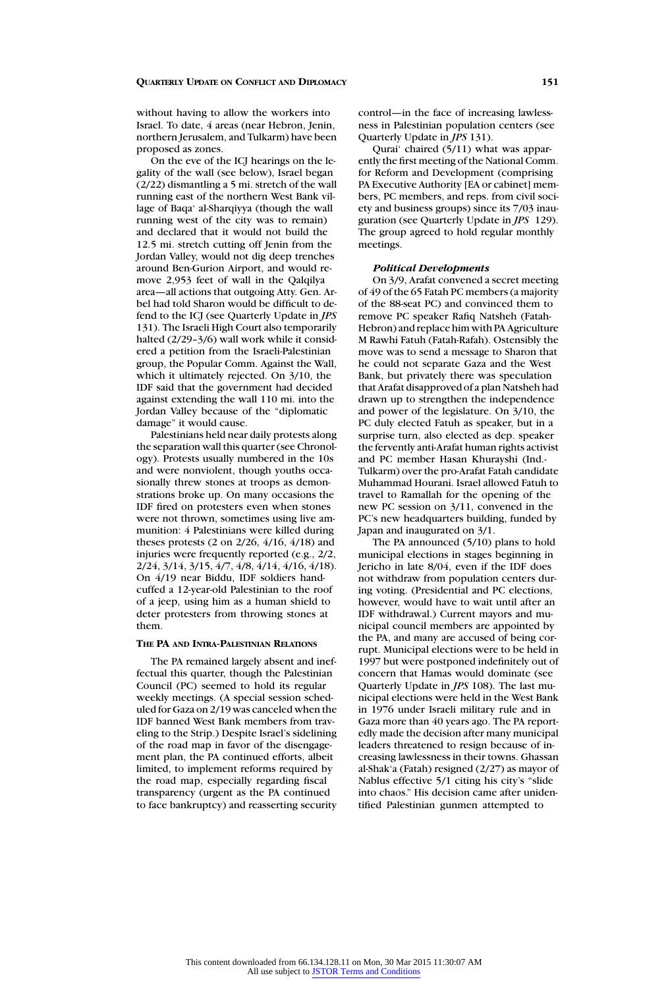without having to allow the workers into Israel. To date, 4 areas (near Hebron, Jenin, northern Jerusalem, and Tulkarm) have been proposed as zones.

On the eve of the ICJ hearings on the legality of the wall (see below), Israel began (2/22) dismantling a 5 mi. stretch of the wall running east of the northern West Bank village of Baqa' al-Sharqiyya (though the wall running west of the city was to remain) and declared that it would not build the 12.5 mi. stretch cutting off Jenin from the Jordan Valley, would not dig deep trenches around Ben-Gurion Airport, and would remove 2,953 feet of wall in the Qalqilya area—all actions that outgoing Atty. Gen. Arbel had told Sharon would be difficult to defend to the ICJ (see Quarterly Update in *JPS* 131). The Israeli High Court also temporarily halted (2/29–3/6) wall work while it considered a petition from the Israeli-Palestinian group, the Popular Comm. Against the Wall, which it ultimately rejected. On 3/10, the IDF said that the government had decided against extending the wall 110 mi. into the Jordan Valley because of the "diplomatic damage" it would cause.

Palestinians held near daily protests along the separation wall this quarter (see Chronology). Protests usually numbered in the 10s and were nonviolent, though youths occasionally threw stones at troops as demonstrations broke up. On many occasions the IDF fired on protesters even when stones were not thrown, sometimes using live ammunition: 4 Palestinians were killed during theses protests (2 on 2/26, 4/16, 4/18) and injuries were frequently reported (e.g., 2/2, 2/24, 3/14, 3/15, 4/7, 4/8, 4/14, 4/16, 4/18). On 4/19 near Biddu, IDF soldiers handcuffed a 12-year-old Palestinian to the roof of a jeep, using him as a human shield to deter protesters from throwing stones at them.

#### **THE PA AND INTRA-PALESTINIAN RELATIONS**

The PA remained largely absent and ineffectual this quarter, though the Palestinian Council (PC) seemed to hold its regular weekly meetings. (A special session scheduled for Gaza on 2/19 was canceled when the IDF banned West Bank members from traveling to the Strip.) Despite Israel's sidelining of the road map in favor of the disengagement plan, the PA continued efforts, albeit limited, to implement reforms required by the road map, especially regarding fiscal transparency (urgent as the PA continued to face bankruptcy) and reasserting security control—in the face of increasing lawlessness in Palestinian population centers (see Quarterly Update in *JPS* 131).

Qurai' chaired (5/11) what was apparently the first meeting of the National Comm. for Reform and Development (comprising PA Executive Authority [EA or cabinet] members, PC members, and reps. from civil society and business groups) since its 7/03 inauguration (see Quarterly Update in *JPS* 129). The group agreed to hold regular monthly meetings.

#### *Political Developments*

On 3/9, Arafat convened a secret meeting of 49 of the 65 Fatah PC members (a majority of the 88-seat PC) and convinced them to remove PC speaker Rafiq Natsheh (Fatah-Hebron) and replace him with PA Agriculture M Rawhi Fatuh (Fatah-Rafah). Ostensibly the move was to send a message to Sharon that he could not separate Gaza and the West Bank, but privately there was speculation that Arafat disapproved of a plan Natsheh had drawn up to strengthen the independence and power of the legislature. On 3/10, the PC duly elected Fatuh as speaker, but in a surprise turn, also elected as dep. speaker the fervently anti-Arafat human rights activist and PC member Hasan Khurayshi (Ind.- Tulkarm) over the pro-Arafat Fatah candidate Muhammad Hourani. Israel allowed Fatuh to travel to Ramallah for the opening of the new PC session on 3/11, convened in the PC's new headquarters building, funded by Japan and inaugurated on 3/1.

The PA announced (5/10) plans to hold municipal elections in stages beginning in Jericho in late 8/04, even if the IDF does not withdraw from population centers during voting. (Presidential and PC elections, however, would have to wait until after an IDF withdrawal.) Current mayors and municipal council members are appointed by the PA, and many are accused of being corrupt. Municipal elections were to be held in 1997 but were postponed indefinitely out of concern that Hamas would dominate (see Quarterly Update in *JPS* 108). The last municipal elections were held in the West Bank in 1976 under Israeli military rule and in Gaza more than 40 years ago. The PA reportedly made the decision after many municipal leaders threatened to resign because of increasing lawlessness in their towns. Ghassan al-Shak'a (Fatah) resigned (2/27) as mayor of Nablus effective 5/1 citing his city's "slide into chaos." His decision came after unidentified Palestinian gunmen attempted to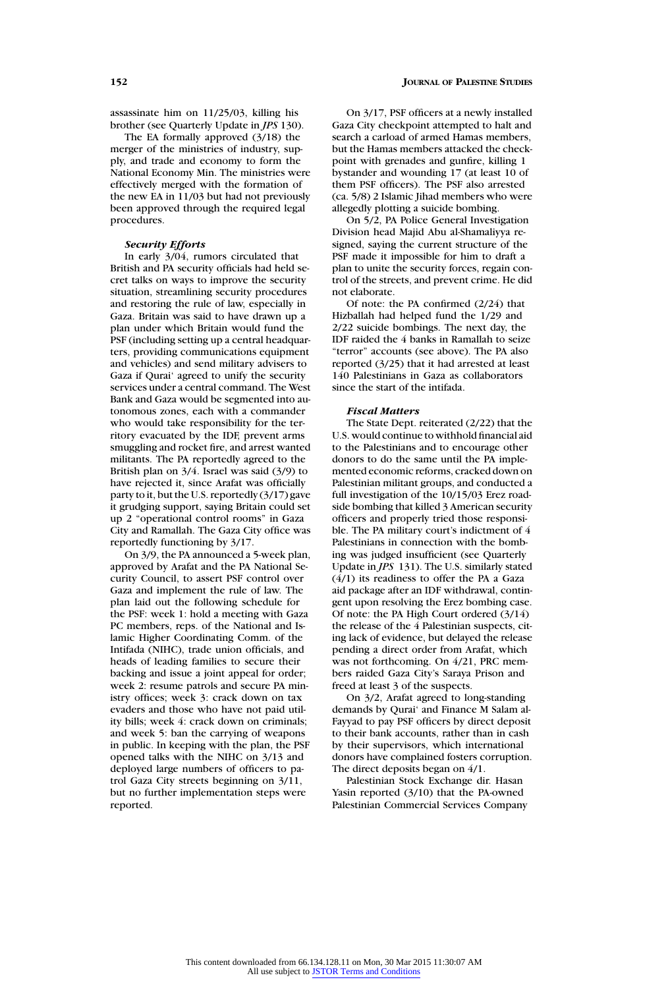**152 JOURNAL OF PALESTINE STUDIES**

assassinate him on 11/25/03, killing his brother (see Quarterly Update in *JPS* 130).

The EA formally approved (3/18) the merger of the ministries of industry, supply, and trade and economy to form the National Economy Min. The ministries were effectively merged with the formation of the new EA in 11/03 but had not previously been approved through the required legal procedures.

### *Security Efforts*

In early 3/04, rumors circulated that British and PA security officials had held secret talks on ways to improve the security situation, streamlining security procedures and restoring the rule of law, especially in Gaza. Britain was said to have drawn up a plan under which Britain would fund the PSF (including setting up a central headquarters, providing communications equipment and vehicles) and send military advisers to Gaza if Qurai' agreed to unify the security services under a central command. The West Bank and Gaza would be segmented into autonomous zones, each with a commander who would take responsibility for the territory evacuated by the IDF, prevent arms smuggling and rocket fire, and arrest wanted militants. The PA reportedly agreed to the British plan on 3/4. Israel was said (3/9) to have rejected it, since Arafat was officially party to it, but the U.S. reportedly (3/17) gave it grudging support, saying Britain could set up 2 "operational control rooms" in Gaza City and Ramallah. The Gaza City office was reportedly functioning by 3/17.

On 3/9, the PA announced a 5-week plan, approved by Arafat and the PA National Security Council, to assert PSF control over Gaza and implement the rule of law. The plan laid out the following schedule for the PSF: week 1: hold a meeting with Gaza PC members, reps. of the National and Islamic Higher Coordinating Comm. of the Intifada (NIHC), trade union officials, and heads of leading families to secure their backing and issue a joint appeal for order; week 2: resume patrols and secure PA ministry offices; week 3: crack down on tax evaders and those who have not paid utility bills; week 4: crack down on criminals; and week 5: ban the carrying of weapons in public. In keeping with the plan, the PSF opened talks with the NIHC on 3/13 and deployed large numbers of officers to patrol Gaza City streets beginning on 3/11, but no further implementation steps were reported.

On 3/17, PSF officers at a newly installed Gaza City checkpoint attempted to halt and search a carload of armed Hamas members, but the Hamas members attacked the checkpoint with grenades and gunfire, killing 1 bystander and wounding 17 (at least 10 of them PSF officers). The PSF also arrested (ca. 5/8) 2 Islamic Jihad members who were allegedly plotting a suicide bombing.

On 5/2, PA Police General Investigation Division head Majid Abu al-Shamaliyya resigned, saying the current structure of the PSF made it impossible for him to draft a plan to unite the security forces, regain control of the streets, and prevent crime. He did not elaborate.

Of note: the PA confirmed (2/24) that Hizballah had helped fund the 1/29 and 2/22 suicide bombings. The next day, the IDF raided the 4 banks in Ramallah to seize "terror" accounts (see above). The PA also reported (3/25) that it had arrested at least 140 Palestinians in Gaza as collaborators since the start of the intifada.

#### *Fiscal Matters*

The State Dept. reiterated (2/22) that the U.S. would continue to withhold financial aid to the Palestinians and to encourage other donors to do the same until the PA implemented economic reforms, cracked down on Palestinian militant groups, and conducted a full investigation of the 10/15/03 Erez roadside bombing that killed 3 American security officers and properly tried those responsible. The PA military court's indictment of 4 Palestinians in connection with the bombing was judged insufficient (see Quarterly Update in *JPS* 131). The U.S. similarly stated (4/1) its readiness to offer the PA a Gaza aid package after an IDF withdrawal, contingent upon resolving the Erez bombing case. Of note: the PA High Court ordered (3/14) the release of the 4 Palestinian suspects, citing lack of evidence, but delayed the release pending a direct order from Arafat, which was not forthcoming. On 4/21, PRC members raided Gaza City's Saraya Prison and freed at least 3 of the suspects.

On 3/2, Arafat agreed to long-standing demands by Qurai' and Finance M Salam al-Fayyad to pay PSF officers by direct deposit to their bank accounts, rather than in cash by their supervisors, which international donors have complained fosters corruption. The direct deposits began on 4/1.

Palestinian Stock Exchange dir. Hasan Yasin reported (3/10) that the PA-owned Palestinian Commercial Services Company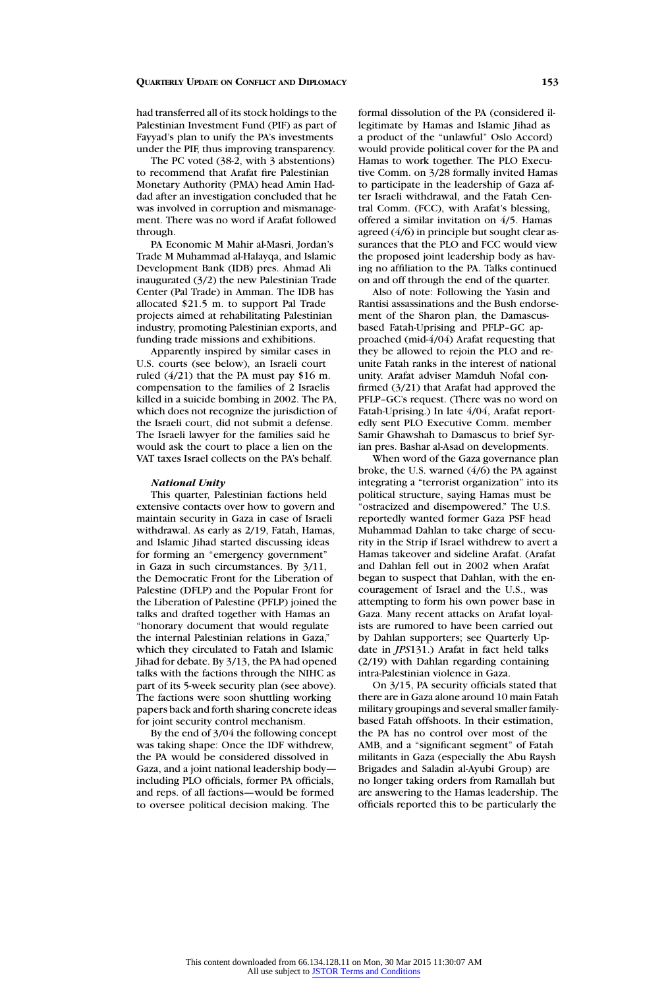had transferred all of its stock holdings to the Palestinian Investment Fund (PIF) as part of Fayyad's plan to unify the PA's investments under the PIF, thus improving transparency.

The PC voted (38-2, with 3 abstentions) to recommend that Arafat fire Palestinian Monetary Authority (PMA) head Amin Haddad after an investigation concluded that he was involved in corruption and mismanagement. There was no word if Arafat followed through.

PA Economic M Mahir al-Masri, Jordan's Trade M Muhammad al-Halayqa, and Islamic Development Bank (IDB) pres. Ahmad Ali inaugurated (3/2) the new Palestinian Trade Center (Pal Trade) in Amman. The IDB has allocated \$21.5 m. to support Pal Trade projects aimed at rehabilitating Palestinian industry, promoting Palestinian exports, and funding trade missions and exhibitions.

Apparently inspired by similar cases in U.S. courts (see below), an Israeli court ruled  $(4/21)$  that the PA must pay \$16 m. compensation to the families of 2 Israelis killed in a suicide bombing in 2002. The PA, which does not recognize the jurisdiction of the Israeli court, did not submit a defense. The Israeli lawyer for the families said he would ask the court to place a lien on the VAT taxes Israel collects on the PA's behalf.

#### *National Unity*

This quarter, Palestinian factions held extensive contacts over how to govern and maintain security in Gaza in case of Israeli withdrawal. As early as 2/19, Fatah, Hamas, and Islamic Jihad started discussing ideas for forming an "emergency government" in Gaza in such circumstances. By 3/11, the Democratic Front for the Liberation of Palestine (DFLP) and the Popular Front for the Liberation of Palestine (PFLP) joined the talks and drafted together with Hamas an "honorary document that would regulate the internal Palestinian relations in Gaza," which they circulated to Fatah and Islamic Jihad for debate. By 3/13, the PA had opened talks with the factions through the NIHC as part of its 5-week security plan (see above). The factions were soon shuttling working papers back and forth sharing concrete ideas for joint security control mechanism.

By the end of 3/04 the following concept was taking shape: Once the IDF withdrew, the PA would be considered dissolved in Gaza, and a joint national leadership body including PLO officials, former PA officials, and reps. of all factions—would be formed to oversee political decision making. The

formal dissolution of the PA (considered illegitimate by Hamas and Islamic Jihad as a product of the "unlawful" Oslo Accord) would provide political cover for the PA and Hamas to work together. The PLO Executive Comm. on 3/28 formally invited Hamas to participate in the leadership of Gaza after Israeli withdrawal, and the Fatah Central Comm. (FCC), with Arafat's blessing, offered a similar invitation on 4/5. Hamas agreed (4/6) in principle but sought clear assurances that the PLO and FCC would view the proposed joint leadership body as having no affiliation to the PA. Talks continued on and off through the end of the quarter.

Also of note: Following the Yasin and Rantisi assassinations and the Bush endorsement of the Sharon plan, the Damascusbased Fatah-Uprising and PFLP–GC approached (mid-4/04) Arafat requesting that they be allowed to rejoin the PLO and reunite Fatah ranks in the interest of national unity. Arafat adviser Mamduh Nofal confirmed (3/21) that Arafat had approved the PFLP–GC's request. (There was no word on Fatah-Uprising.) In late 4/04, Arafat reportedly sent PLO Executive Comm. member Samir Ghawshah to Damascus to brief Syrian pres. Bashar al-Asad on developments.

When word of the Gaza governance plan broke, the U.S. warned (4/6) the PA against integrating a "terrorist organization" into its political structure, saying Hamas must be "ostracized and disempowered." The U.S. reportedly wanted former Gaza PSF head Muhammad Dahlan to take charge of security in the Strip if Israel withdrew to avert a Hamas takeover and sideline Arafat. (Arafat and Dahlan fell out in 2002 when Arafat began to suspect that Dahlan, with the encouragement of Israel and the U.S., was attempting to form his own power base in Gaza. Many recent attacks on Arafat loyalists are rumored to have been carried out by Dahlan supporters; see Quarterly Update in *JPS*131.) Arafat in fact held talks (2/19) with Dahlan regarding containing intra-Palestinian violence in Gaza.

On 3/15, PA security officials stated that there are in Gaza alone around 10 main Fatah military groupings and several smaller familybased Fatah offshoots. In their estimation, the PA has no control over most of the AMB, and a "significant segment" of Fatah militants in Gaza (especially the Abu Raysh Brigades and Saladin al-Ayubi Group) are no longer taking orders from Ramallah but are answering to the Hamas leadership. The officials reported this to be particularly the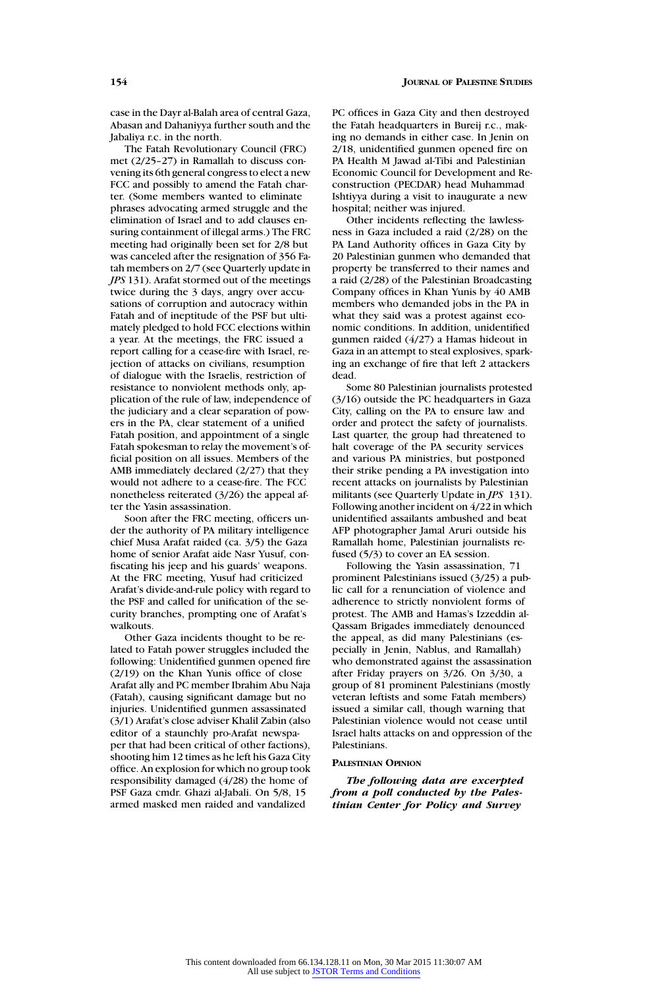case in the Dayr al-Balah area of central Gaza, Abasan and Dahaniyya further south and the Jabaliya r.c. in the north.

The Fatah Revolutionary Council (FRC) met (2/25–27) in Ramallah to discuss convening its 6th general congress to elect a new FCC and possibly to amend the Fatah charter. (Some members wanted to eliminate phrases advocating armed struggle and the elimination of Israel and to add clauses ensuring containment of illegal arms.) The FRC meeting had originally been set for 2/8 but was canceled after the resignation of 356 Fatah members on 2/7 (see Quarterly update in *JPS* 131). Arafat stormed out of the meetings twice during the 3 days, angry over accusations of corruption and autocracy within Fatah and of ineptitude of the PSF but ultimately pledged to hold FCC elections within a year. At the meetings, the FRC issued a report calling for a cease-fire with Israel, rejection of attacks on civilians, resumption of dialogue with the Israelis, restriction of resistance to nonviolent methods only, application of the rule of law, independence of the judiciary and a clear separation of powers in the PA, clear statement of a unified Fatah position, and appointment of a single Fatah spokesman to relay the movement's official position on all issues. Members of the AMB immediately declared (2/27) that they would not adhere to a cease-fire. The FCC nonetheless reiterated (3/26) the appeal after the Yasin assassination.

Soon after the FRC meeting, officers under the authority of PA military intelligence chief Musa Arafat raided (ca. 3/5) the Gaza home of senior Arafat aide Nasr Yusuf, confiscating his jeep and his guards' weapons. At the FRC meeting, Yusuf had criticized Arafat's divide-and-rule policy with regard to the PSF and called for unification of the security branches, prompting one of Arafat's walkouts.

Other Gaza incidents thought to be related to Fatah power struggles included the following: Unidentified gunmen opened fire (2/19) on the Khan Yunis office of close Arafat ally and PC member Ibrahim Abu Naja (Fatah), causing significant damage but no injuries. Unidentified gunmen assassinated (3/1) Arafat's close adviser Khalil Zabin (also editor of a staunchly pro-Arafat newspaper that had been critical of other factions), shooting him 12 times as he left his Gaza City office. An explosion for which no group took responsibility damaged (4/28) the home of PSF Gaza cmdr. Ghazi al-Jabali. On 5/8, 15 armed masked men raided and vandalized

PC offices in Gaza City and then destroyed the Fatah headquarters in Bureij r.c., making no demands in either case. In Jenin on 2/18, unidentified gunmen opened fire on PA Health M Jawad al-Tibi and Palestinian Economic Council for Development and Reconstruction (PECDAR) head Muhammad Ishtiyya during a visit to inaugurate a new hospital; neither was injured.

Other incidents reflecting the lawlessness in Gaza included a raid (2/28) on the PA Land Authority offices in Gaza City by 20 Palestinian gunmen who demanded that property be transferred to their names and a raid (2/28) of the Palestinian Broadcasting Company offices in Khan Yunis by 40 AMB members who demanded jobs in the PA in what they said was a protest against economic conditions. In addition, unidentified gunmen raided (4/27) a Hamas hideout in Gaza in an attempt to steal explosives, sparking an exchange of fire that left 2 attackers dead.

Some 80 Palestinian journalists protested (3/16) outside the PC headquarters in Gaza City, calling on the PA to ensure law and order and protect the safety of journalists. Last quarter, the group had threatened to halt coverage of the PA security services and various PA ministries, but postponed their strike pending a PA investigation into recent attacks on journalists by Palestinian militants (see Quarterly Update in *JPS* 131). Following another incident on 4/22 in which unidentified assailants ambushed and beat AFP photographer Jamal Aruri outside his Ramallah home, Palestinian journalists refused (5/3) to cover an EA session.

Following the Yasin assassination, 71 prominent Palestinians issued (3/25) a public call for a renunciation of violence and adherence to strictly nonviolent forms of protest. The AMB and Hamas's Izzeddin al-Qassam Brigades immediately denounced the appeal, as did many Palestinians (especially in Jenin, Nablus, and Ramallah) who demonstrated against the assassination after Friday prayers on 3/26. On 3/30, a group of 81 prominent Palestinians (mostly veteran leftists and some Fatah members) issued a similar call, though warning that Palestinian violence would not cease until Israel halts attacks on and oppression of the Palestinians.

#### **PALESTINIAN OPINION**

*The following data are excerpted from a poll conducted by the Palestinian Center for Policy and Survey*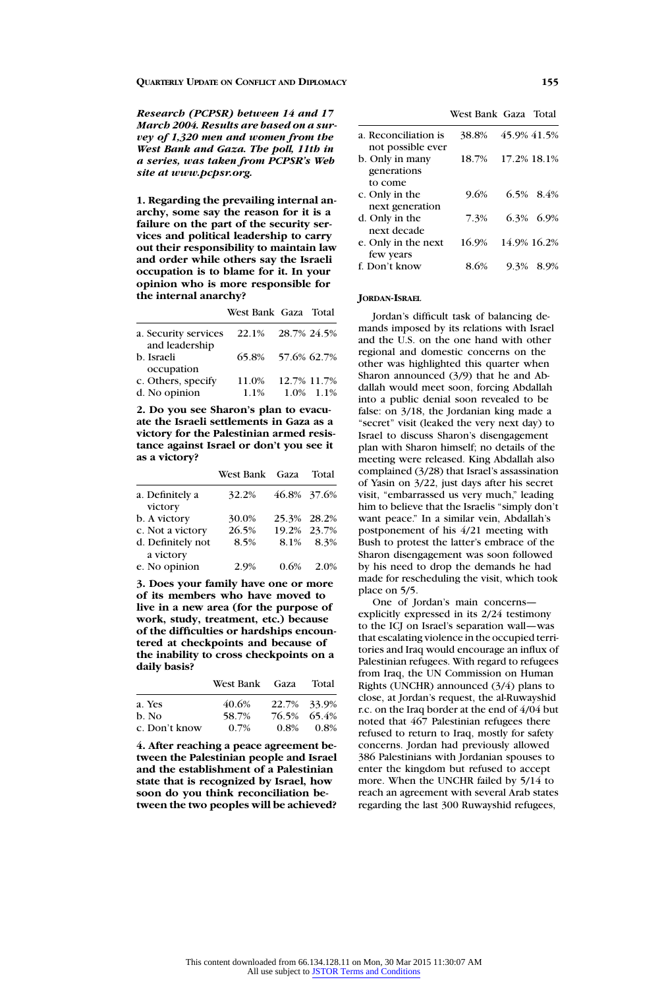*Research (PCPSR) between 14 and 17 March 2004. Results are based on a survey of 1,320 men and women from the West Bank and Gaza. The poll, 11th in a series, was taken from PCPSR's Web site at www.pcpsr.org.*

**1. Regarding the prevailing internal anarchy, some say the reason for it is a failure on the part of the security services and political leadership to carry out their responsibility to maintain law and order while others say the Israeli occupation is to blame for it. In your opinion who is more responsible for the internal anarchy?**

| a. Security services<br>and leadership | 22.1% | 28.7% 24.5%       |
|----------------------------------------|-------|-------------------|
| b. Israeli                             |       | 65.8% 57.6% 62.7% |
| occupation                             |       |                   |
| c. Others, specify                     | 11.0% | 12.7% 11.7%       |
| d. No opinion                          | 1.1%  | 1.0% 1.1%         |

**2. Do you see Sharon's plan to evacuate the Israeli settlements in Gaza as a victory for the Palestinian armed resistance against Israel or don't you see it as a victory?**

|                                | West Bank Gaza |      | Total       |
|--------------------------------|----------------|------|-------------|
| a. Definitely a<br>victory     | 32.2%          |      | 46.8% 37.6% |
| b. A victory                   | 30.0%          |      | 25.3% 28.2% |
| c. Not a victory               | 26.5%          |      | 19.2% 23.7% |
| d. Definitely not<br>a victory | 8.5%           | 8.1% | 8.3%        |
| e. No opinion                  | 2.9%           | 0.6% | 2.0%        |

**3. Does your family have one or more of its members who have moved to live in a new area (for the purpose of work, study, treatment, etc.) because of the difficulties or hardships encountered at checkpoints and because of the inability to cross checkpoints on a daily basis?**

|               | West Bank Gaza Total |         |             |
|---------------|----------------------|---------|-------------|
| a. Yes        | 40.6%                |         | 22.7% 33.9% |
| b. No         | 58.7%                |         | 76.5% 65.4% |
| c. Don't know | $0.7\%$              | $0.8\%$ | $0.8\%$     |

**4. After reaching a peace agreement between the Palestinian people and Israel and the establishment of a Palestinian state that is recognized by Israel, how soon do you think reconciliation between the two peoples will be achieved?**

West Bank Gaza Total

| a. Reconciliation is<br>not possible ever | 38.8% | 45.9% 41.5%  |
|-------------------------------------------|-------|--------------|
| b. Only in many<br>generations            | 18.7% | 17.2% 18.1%  |
| to come<br>c. Only in the                 | 9.6%  | $6.5\%$ 8.4% |
| next generation                           |       |              |
| d. Only in the                            | 7.3%  | 6.3% 6.9%    |
| next decade<br>e. Only in the next        | 16.9% | 14.9% 16.2%  |
| few years                                 |       |              |
| f. Don't know                             | 8.6%  | 9.3%<br>8.9% |

# **JORDAN-ISRAEL**

Jordan's difficult task of balancing demands imposed by its relations with Israel and the U.S. on the one hand with other regional and domestic concerns on the other was highlighted this quarter when Sharon announced (3/9) that he and Abdallah would meet soon, forcing Abdallah into a public denial soon revealed to be false: on 3/18, the Jordanian king made a "secret" visit (leaked the very next day) to Israel to discuss Sharon's disengagement plan with Sharon himself; no details of the meeting were released. King Abdallah also complained (3/28) that Israel's assassination of Yasin on 3/22, just days after his secret visit, "embarrassed us very much," leading him to believe that the Israelis "simply don't want peace." In a similar vein, Abdallah's postponement of his 4/21 meeting with Bush to protest the latter's embrace of the Sharon disengagement was soon followed by his need to drop the demands he had made for rescheduling the visit, which took place on 5/5.

One of Jordan's main concerns explicitly expressed in its 2/24 testimony to the ICJ on Israel's separation wall—was that escalating violence in the occupied territories and Iraq would encourage an influx of Palestinian refugees. With regard to refugees from Iraq, the UN Commission on Human Rights (UNCHR) announced (3/4) plans to close, at Jordan's request, the al-Ruwayshid r.c. on the Iraq border at the end of 4/04 but noted that 467 Palestinian refugees there refused to return to Iraq, mostly for safety concerns. Jordan had previously allowed 386 Palestinians with Jordanian spouses to enter the kingdom but refused to accept more. When the UNCHR failed by 5/14 to reach an agreement with several Arab states regarding the last 300 Ruwayshid refugees,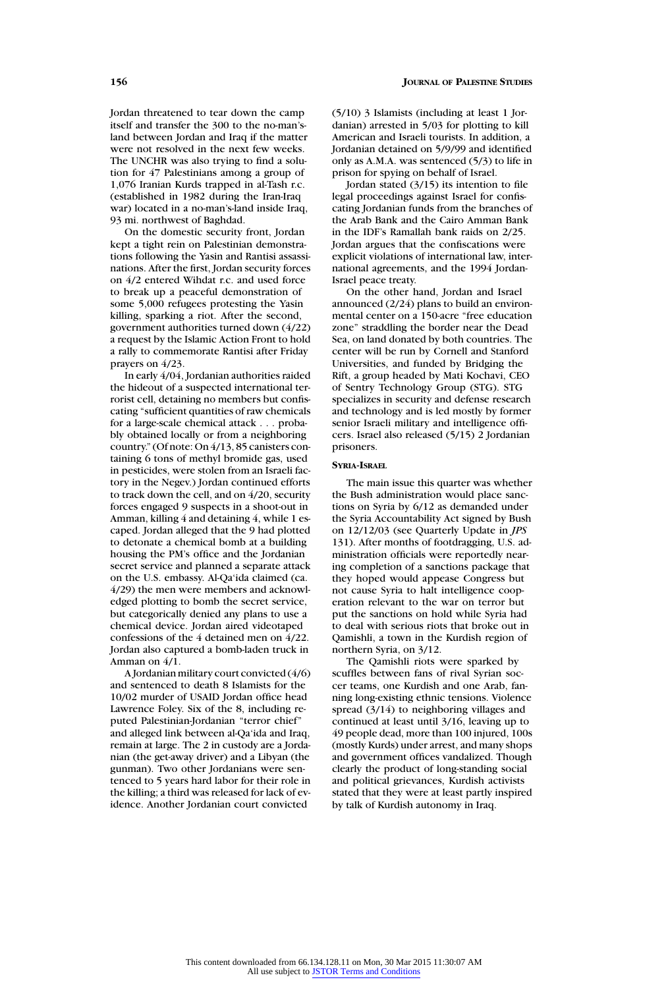Jordan threatened to tear down the camp itself and transfer the 300 to the no-man'sland between Jordan and Iraq if the matter were not resolved in the next few weeks. The UNCHR was also trying to find a solution for 47 Palestinians among a group of 1,076 Iranian Kurds trapped in al-Tash r.c. (established in 1982 during the Iran-Iraq war) located in a no-man's-land inside Iraq, 93 mi. northwest of Baghdad.

On the domestic security front, Jordan kept a tight rein on Palestinian demonstrations following the Yasin and Rantisi assassinations. After the first, Jordan security forces on 4/2 entered Wihdat r.c. and used force to break up a peaceful demonstration of some 5,000 refugees protesting the Yasin killing, sparking a riot. After the second, government authorities turned down (4/22) a request by the Islamic Action Front to hold a rally to commemorate Rantisi after Friday prayers on 4/23.

In early 4/04, Jordanian authorities raided the hideout of a suspected international terrorist cell, detaining no members but confiscating "sufficient quantities of raw chemicals for a large-scale chemical attack . . . probably obtained locally or from a neighboring country." (Of note: On 4/13, 85 canisters containing 6 tons of methyl bromide gas, used in pesticides, were stolen from an Israeli factory in the Negev.) Jordan continued efforts to track down the cell, and on 4/20, security forces engaged 9 suspects in a shoot-out in Amman, killing 4 and detaining 4, while 1 escaped. Jordan alleged that the 9 had plotted to detonate a chemical bomb at a building housing the PM's office and the Jordanian secret service and planned a separate attack on the U.S. embassy. Al-Qa'ida claimed (ca. 4/29) the men were members and acknowledged plotting to bomb the secret service, but categorically denied any plans to use a chemical device. Jordan aired videotaped confessions of the 4 detained men on 4/22. Jordan also captured a bomb-laden truck in Amman on 4/1.

A Jordanian military court convicted (4/6) and sentenced to death 8 Islamists for the 10/02 murder of USAID Jordan office head Lawrence Foley. Six of the 8, including reputed Palestinian-Jordanian "terror chief" and alleged link between al-Qa'ida and Iraq, remain at large. The 2 in custody are a Jordanian (the get-away driver) and a Libyan (the gunman). Two other Jordanians were sentenced to 5 years hard labor for their role in the killing; a third was released for lack of evidence. Another Jordanian court convicted

(5/10) 3 Islamists (including at least 1 Jordanian) arrested in 5/03 for plotting to kill American and Israeli tourists. In addition, a Jordanian detained on 5/9/99 and identified only as A.M.A. was sentenced (5/3) to life in prison for spying on behalf of Israel.

Jordan stated (3/15) its intention to file legal proceedings against Israel for confiscating Jordanian funds from the branches of the Arab Bank and the Cairo Amman Bank in the IDF's Ramallah bank raids on 2/25. Jordan argues that the confiscations were explicit violations of international law, international agreements, and the 1994 Jordan-Israel peace treaty.

On the other hand, Jordan and Israel announced (2/24) plans to build an environmental center on a 150-acre "free education zone" straddling the border near the Dead Sea, on land donated by both countries. The center will be run by Cornell and Stanford Universities, and funded by Bridging the Rift, a group headed by Mati Kochavi, CEO of Sentry Technology Group (STG). STG specializes in security and defense research and technology and is led mostly by former senior Israeli military and intelligence officers. Israel also released (5/15) 2 Jordanian prisoners.

## **SYRIA-ISRAEL**

The main issue this quarter was whether the Bush administration would place sanctions on Syria by 6/12 as demanded under the Syria Accountability Act signed by Bush on 12/12/03 (see Quarterly Update in *JPS* 131). After months of footdragging, U.S. administration officials were reportedly nearing completion of a sanctions package that they hoped would appease Congress but not cause Syria to halt intelligence cooperation relevant to the war on terror but put the sanctions on hold while Syria had to deal with serious riots that broke out in Qamishli, a town in the Kurdish region of northern Syria, on 3/12.

The Qamishli riots were sparked by scuffles between fans of rival Syrian soccer teams, one Kurdish and one Arab, fanning long-existing ethnic tensions. Violence spread (3/14) to neighboring villages and continued at least until 3/16, leaving up to 49 people dead, more than 100 injured, 100s (mostly Kurds) under arrest, and many shops and government offices vandalized. Though clearly the product of long-standing social and political grievances, Kurdish activists stated that they were at least partly inspired by talk of Kurdish autonomy in Iraq.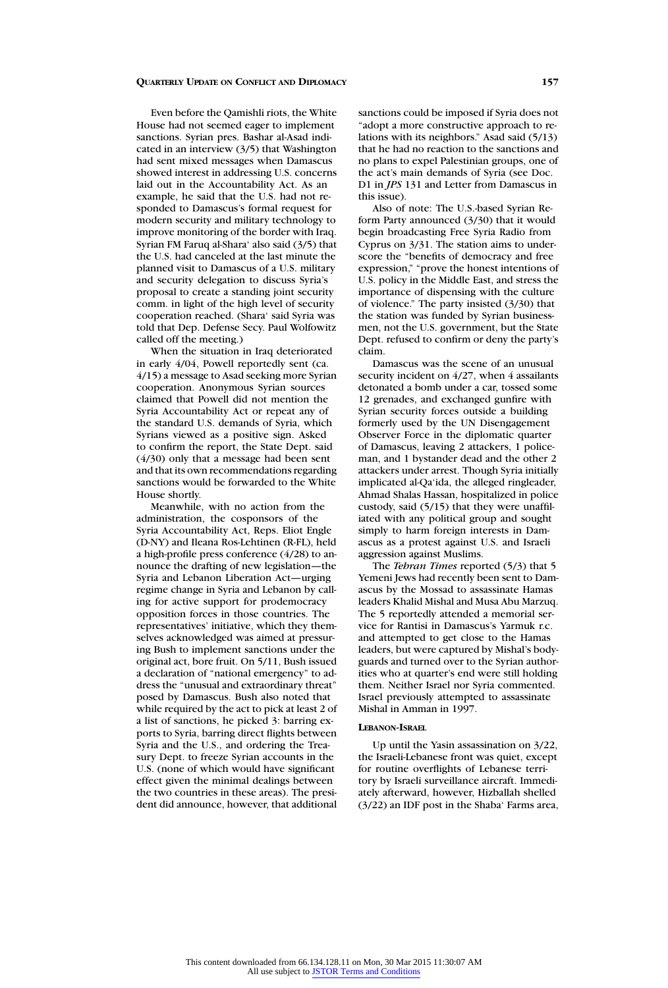Even before the Qamishli riots, the White House had not seemed eager to implement sanctions. Syrian pres. Bashar al-Asad indicated in an interview (3/5) that Washington had sent mixed messages when Damascus showed interest in addressing U.S. concerns laid out in the Accountability Act. As an example, he said that the U.S. had not responded to Damascus's formal request for modern security and military technology to improve monitoring of the border with Iraq. Syrian FM Faruq al-Shara' also said (3/5) that the U.S. had canceled at the last minute the planned visit to Damascus of a U.S. military and security delegation to discuss Syria's proposal to create a standing joint security comm. in light of the high level of security cooperation reached. (Shara' said Syria was told that Dep. Defense Secy. Paul Wolfowitz called off the meeting.)

When the situation in Iraq deteriorated in early 4/04, Powell reportedly sent (ca. 4/15) a message to Asad seeking more Syrian cooperation. Anonymous Syrian sources claimed that Powell did not mention the Syria Accountability Act or repeat any of the standard U.S. demands of Syria, which Syrians viewed as a positive sign. Asked to confirm the report, the State Dept. said (4/30) only that a message had been sent and that its own recommendations regarding sanctions would be forwarded to the White House shortly.

Meanwhile, with no action from the administration, the cosponsors of the Syria Accountability Act, Reps. Eliot Engle (D-NY) and Ileana Ros-Lehtinen (R-FL), held a high-profile press conference (4/28) to announce the drafting of new legislation—the Syria and Lebanon Liberation Act—urging regime change in Syria and Lebanon by calling for active support for prodemocracy opposition forces in those countries. The representatives' initiative, which they themselves acknowledged was aimed at pressuring Bush to implement sanctions under the original act, bore fruit. On 5/11, Bush issued a declaration of "national emergency" to address the "unusual and extraordinary threat" posed by Damascus. Bush also noted that while required by the act to pick at least 2 of a list of sanctions, he picked 3: barring exports to Syria, barring direct flights between Syria and the U.S., and ordering the Treasury Dept. to freeze Syrian accounts in the U.S. (none of which would have significant effect given the minimal dealings between the two countries in these areas). The president did announce, however, that additional

sanctions could be imposed if Syria does not "adopt a more constructive approach to relations with its neighbors." Asad said (5/13) that he had no reaction to the sanctions and no plans to expel Palestinian groups, one of the act's main demands of Syria (see Doc. D1 in *JPS* 131 and Letter from Damascus in this issue).

Also of note: The U.S.-based Syrian Reform Party announced (3/30) that it would begin broadcasting Free Syria Radio from Cyprus on 3/31. The station aims to underscore the "benefits of democracy and free expression," "prove the honest intentions of U.S. policy in the Middle East, and stress the importance of dispensing with the culture of violence." The party insisted (3/30) that the station was funded by Syrian businessmen, not the U.S. government, but the State Dept. refused to confirm or deny the party's claim.

Damascus was the scene of an unusual security incident on  $4/27$ , when 4 assailants detonated a bomb under a car, tossed some 12 grenades, and exchanged gunfire with Syrian security forces outside a building formerly used by the UN Disengagement Observer Force in the diplomatic quarter of Damascus, leaving 2 attackers, 1 policeman, and 1 bystander dead and the other 2 attackers under arrest. Though Syria initially implicated al-Qa'ida, the alleged ringleader, Ahmad Shalas Hassan, hospitalized in police custody, said (5/15) that they were unaffiliated with any political group and sought simply to harm foreign interests in Damascus as a protest against U.S. and Israeli aggression against Muslims.

The *Tehran Times* reported (5/3) that 5 Yemeni Jews had recently been sent to Damascus by the Mossad to assassinate Hamas leaders Khalid Mishal and Musa Abu Marzuq. The 5 reportedly attended a memorial service for Rantisi in Damascus's Yarmuk r.c. and attempted to get close to the Hamas leaders, but were captured by Mishal's bodyguards and turned over to the Syrian authorities who at quarter's end were still holding them. Neither Israel nor Syria commented. Israel previously attempted to assassinate Mishal in Amman in 1997.

#### **LEBANON-ISRAEL**

Up until the Yasin assassination on 3/22, the Israeli-Lebanese front was quiet, except for routine overflights of Lebanese territory by Israeli surveillance aircraft. Immediately afterward, however, Hizballah shelled (3/22) an IDF post in the Shaba' Farms area,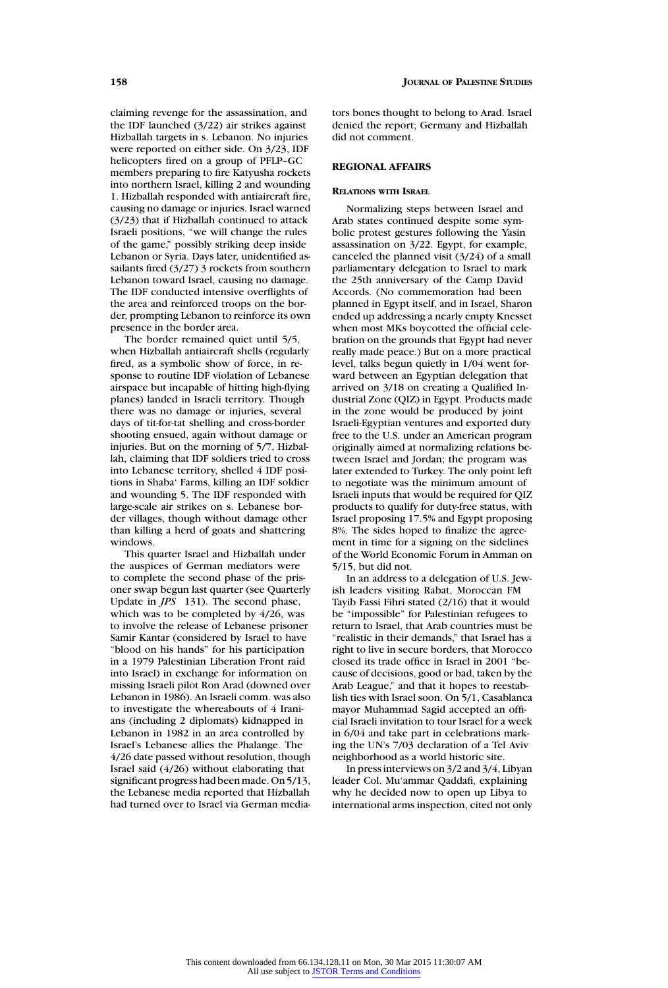claiming revenge for the assassination, and the IDF launched (3/22) air strikes against Hizballah targets in s. Lebanon. No injuries were reported on either side. On 3/23, IDF helicopters fired on a group of PFLP–GC members preparing to fire Katyusha rockets into northern Israel, killing 2 and wounding 1. Hizballah responded with antiaircraft fire, causing no damage or injuries. Israel warned (3/23) that if Hizballah continued to attack Israeli positions, "we will change the rules of the game," possibly striking deep inside Lebanon or Syria. Days later, unidentified assailants fired (3/27) 3 rockets from southern Lebanon toward Israel, causing no damage. The IDF conducted intensive overflights of the area and reinforced troops on the border, prompting Lebanon to reinforce its own presence in the border area.

The border remained quiet until 5/5, when Hizballah antiaircraft shells (regularly fired, as a symbolic show of force, in response to routine IDF violation of Lebanese airspace but incapable of hitting high-flying planes) landed in Israeli territory. Though there was no damage or injuries, several days of tit-for-tat shelling and cross-border shooting ensued, again without damage or injuries. But on the morning of 5/7, Hizballah, claiming that IDF soldiers tried to cross into Lebanese territory, shelled 4 IDF positions in Shaba' Farms, killing an IDF soldier and wounding 5. The IDF responded with large-scale air strikes on s. Lebanese border villages, though without damage other than killing a herd of goats and shattering windows.

This quarter Israel and Hizballah under the auspices of German mediators were to complete the second phase of the prisoner swap begun last quarter (see Quarterly Update in *JPS* 131). The second phase, which was to be completed by 4/26, was to involve the release of Lebanese prisoner Samir Kantar (considered by Israel to have "blood on his hands" for his participation in a 1979 Palestinian Liberation Front raid into Israel) in exchange for information on missing Israeli pilot Ron Arad (downed over Lebanon in 1986). An Israeli comm. was also to investigate the whereabouts of 4 Iranians (including 2 diplomats) kidnapped in Lebanon in 1982 in an area controlled by Israel's Lebanese allies the Phalange. The 4/26 date passed without resolution, though Israel said (4/26) without elaborating that significant progress had been made. On 5/13, the Lebanese media reported that Hizballah had turned over to Israel via German mediators bones thought to belong to Arad. Israel denied the report; Germany and Hizballah did not comment.

# **REGIONAL AFFAIRS**

#### **RELATIONS WITH ISRAEL**

Normalizing steps between Israel and Arab states continued despite some symbolic protest gestures following the Yasin assassination on 3/22. Egypt, for example, canceled the planned visit (3/24) of a small parliamentary delegation to Israel to mark the 25th anniversary of the Camp David Accords. (No commemoration had been planned in Egypt itself, and in Israel, Sharon ended up addressing a nearly empty Knesset when most MKs boycotted the official celebration on the grounds that Egypt had never really made peace.) But on a more practical level, talks begun quietly in 1/04 went forward between an Egyptian delegation that arrived on 3/18 on creating a Qualified Industrial Zone (QIZ) in Egypt. Products made in the zone would be produced by joint Israeli-Egyptian ventures and exported duty free to the U.S. under an American program originally aimed at normalizing relations between Israel and Jordan; the program was later extended to Turkey. The only point left to negotiate was the minimum amount of Israeli inputs that would be required for QIZ products to qualify for duty-free status, with Israel proposing 17.5% and Egypt proposing 8%. The sides hoped to finalize the agreement in time for a signing on the sidelines of the World Economic Forum in Amman on 5/15, but did not.

In an address to a delegation of U.S. Jewish leaders visiting Rabat, Moroccan FM Tayib Fassi Fihri stated (2/16) that it would be "impossible" for Palestinian refugees to return to Israel, that Arab countries must be "realistic in their demands," that Israel has a right to live in secure borders, that Morocco closed its trade office in Israel in 2001 "because of decisions, good or bad, taken by the Arab League," and that it hopes to reestablish ties with Israel soon. On 5/1, Casablanca mayor Muhammad Sagid accepted an official Israeli invitation to tour Israel for a week in 6/04 and take part in celebrations marking the UN's 7/03 declaration of a Tel Aviv neighborhood as a world historic site.

In press interviews on 3/2 and 3/4, Libyan leader Col. Mu'ammar Qaddafi, explaining why he decided now to open up Libya to international arms inspection, cited not only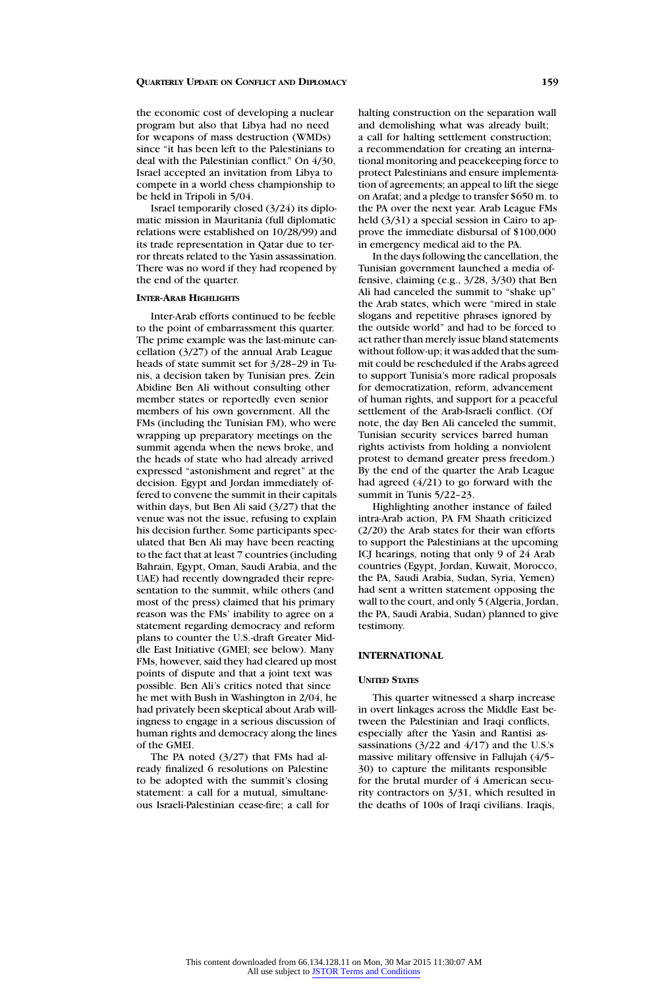the economic cost of developing a nuclear program but also that Libya had no need for weapons of mass destruction (WMDs) since "it has been left to the Palestinians to deal with the Palestinian conflict." On 4/30, Israel accepted an invitation from Libya to compete in a world chess championship to be held in Tripoli in 5/04.

Israel temporarily closed (3/24) its diplomatic mission in Mauritania (full diplomatic relations were established on 10/28/99) and its trade representation in Qatar due to terror threats related to the Yasin assassination. There was no word if they had reopened by the end of the quarter.

## **INTER-ARAB HIGHLIGHTS**

Inter-Arab efforts continued to be feeble to the point of embarrassment this quarter. The prime example was the last-minute cancellation (3/27) of the annual Arab League heads of state summit set for 3/28–29 in Tunis, a decision taken by Tunisian pres. Zein Abidine Ben Ali without consulting other member states or reportedly even senior members of his own government. All the FMs (including the Tunisian FM), who were wrapping up preparatory meetings on the summit agenda when the news broke, and the heads of state who had already arrived expressed "astonishment and regret" at the decision. Egypt and Jordan immediately offered to convene the summit in their capitals within days, but Ben Ali said (3/27) that the venue was not the issue, refusing to explain his decision further. Some participants speculated that Ben Ali may have been reacting to the fact that at least 7 countries (including Bahrain, Egypt, Oman, Saudi Arabia, and the UAE) had recently downgraded their representation to the summit, while others (and most of the press) claimed that his primary reason was the FMs' inability to agree on a statement regarding democracy and reform plans to counter the U.S.-draft Greater Middle East Initiative (GMEI; see below). Many FMs, however, said they had cleared up most points of dispute and that a joint text was possible. Ben Ali's critics noted that since he met with Bush in Washington in 2/04, he had privately been skeptical about Arab willingness to engage in a serious discussion of human rights and democracy along the lines of the GMEI.

The PA noted (3/27) that FMs had already finalized 6 resolutions on Palestine to be adopted with the summit's closing statement: a call for a mutual, simultaneous Israeli-Palestinian cease-fire; a call for

halting construction on the separation wall and demolishing what was already built; a call for halting settlement construction; a recommendation for creating an international monitoring and peacekeeping force to protect Palestinians and ensure implementation of agreements; an appeal to lift the siege on Arafat; and a pledge to transfer \$650 m. to the PA over the next year. Arab League FMs held (3/31) a special session in Cairo to approve the immediate disbursal of \$100,000 in emergency medical aid to the PA.

In the days following the cancellation, the Tunisian government launched a media offensive, claiming (e.g., 3/28, 3/30) that Ben Ali had canceled the summit to "shake up" the Arab states, which were "mired in stale slogans and repetitive phrases ignored by the outside world" and had to be forced to act rather than merely issue bland statements without follow-up; it was added that the summit could be rescheduled if the Arabs agreed to support Tunisia's more radical proposals for democratization, reform, advancement of human rights, and support for a peaceful settlement of the Arab-Israeli conflict. (Of note, the day Ben Ali canceled the summit, Tunisian security services barred human rights activists from holding a nonviolent protest to demand greater press freedom.) By the end of the quarter the Arab League had agreed (4/21) to go forward with the summit in Tunis 5/22–23.

Highlighting another instance of failed intra-Arab action, PA FM Shaath criticized (2/20) the Arab states for their wan efforts to support the Palestinians at the upcoming ICJ hearings, noting that only 9 of 24 Arab countries (Egypt, Jordan, Kuwait, Morocco, the PA, Saudi Arabia, Sudan, Syria, Yemen) had sent a written statement opposing the wall to the court, and only 5 (Algeria, Jordan, the PA, Saudi Arabia, Sudan) planned to give testimony.

## **INTERNATIONAL**

## **UNITED STATES**

This quarter witnessed a sharp increase in overt linkages across the Middle East between the Palestinian and Iraqi conflicts, especially after the Yasin and Rantisi assassinations (3/22 and 4/17) and the U.S.'s massive military offensive in Fallujah (4/5– 30) to capture the militants responsible for the brutal murder of 4 American security contractors on 3/31, which resulted in the deaths of 100s of Iraqi civilians. Iraqis,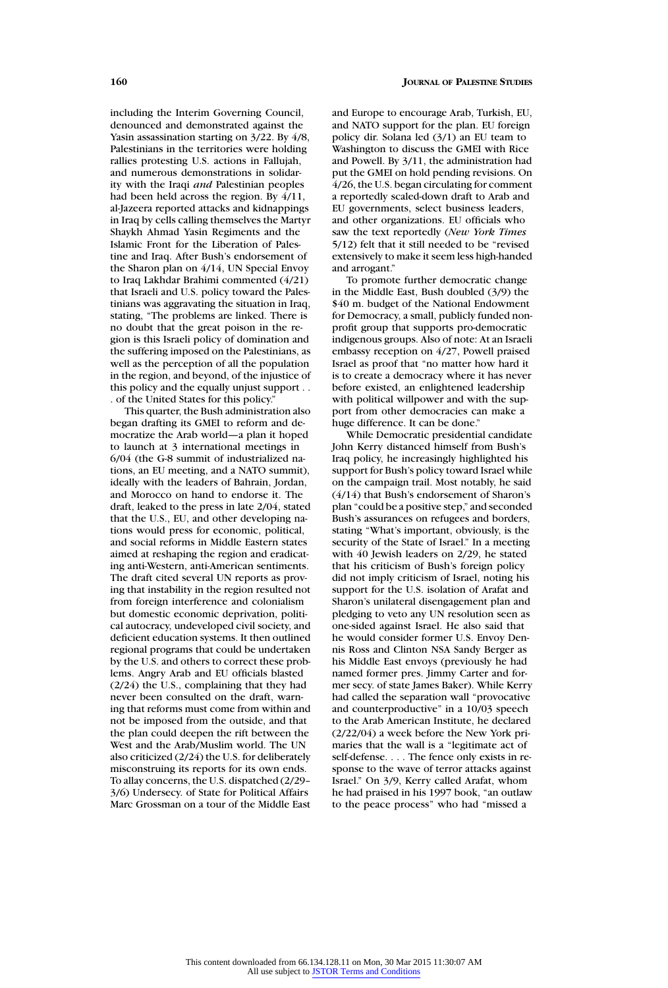including the Interim Governing Council, denounced and demonstrated against the Yasin assassination starting on 3/22. By 4/8, Palestinians in the territories were holding rallies protesting U.S. actions in Fallujah, and numerous demonstrations in solidarity with the Iraqi *and* Palestinian peoples had been held across the region. By 4/11, al-Jazeera reported attacks and kidnappings in Iraq by cells calling themselves the Martyr Shaykh Ahmad Yasin Regiments and the Islamic Front for the Liberation of Palestine and Iraq. After Bush's endorsement of the Sharon plan on 4/14, UN Special Envoy to Iraq Lakhdar Brahimi commented (4/21) that Israeli and U.S. policy toward the Palestinians was aggravating the situation in Iraq,

stating, "The problems are linked. There is no doubt that the great poison in the region is this Israeli policy of domination and the suffering imposed on the Palestinians, as well as the perception of all the population in the region, and beyond, of the injustice of this policy and the equally unjust support . . . of the United States for this policy."

This quarter, the Bush administration also began drafting its GMEI to reform and democratize the Arab world—a plan it hoped to launch at 3 international meetings in 6/04 (the G-8 summit of industrialized nations, an EU meeting, and a NATO summit), ideally with the leaders of Bahrain, Jordan, and Morocco on hand to endorse it. The draft, leaked to the press in late 2/04, stated that the U.S., EU, and other developing nations would press for economic, political, and social reforms in Middle Eastern states aimed at reshaping the region and eradicating anti-Western, anti-American sentiments. The draft cited several UN reports as proving that instability in the region resulted not from foreign interference and colonialism but domestic economic deprivation, political autocracy, undeveloped civil society, and deficient education systems. It then outlined regional programs that could be undertaken by the U.S. and others to correct these problems. Angry Arab and EU officials blasted (2/24) the U.S., complaining that they had never been consulted on the draft, warning that reforms must come from within and not be imposed from the outside, and that the plan could deepen the rift between the West and the Arab/Muslim world. The UN also criticized (2/24) the U.S. for deliberately misconstruing its reports for its own ends. To allay concerns, the U.S. dispatched (2/29– 3/6) Undersecy. of State for Political Affairs Marc Grossman on a tour of the Middle East

and Europe to encourage Arab, Turkish, EU, and NATO support for the plan. EU foreign policy dir. Solana led (3/1) an EU team to Washington to discuss the GMEI with Rice and Powell. By 3/11, the administration had put the GMEI on hold pending revisions. On 4/26, the U.S. began circulating for comment a reportedly scaled-down draft to Arab and EU governments, select business leaders, and other organizations. EU officials who saw the text reportedly (*New York Times* 5/12) felt that it still needed to be "revised extensively to make it seem less high-handed and arrogant."

To promote further democratic change in the Middle East, Bush doubled (3/9) the \$40 m. budget of the National Endowment for Democracy, a small, publicly funded nonprofit group that supports pro-democratic indigenous groups. Also of note: At an Israeli embassy reception on 4/27, Powell praised Israel as proof that "no matter how hard it is to create a democracy where it has never before existed, an enlightened leadership with political willpower and with the support from other democracies can make a huge difference. It can be done."

While Democratic presidential candidate John Kerry distanced himself from Bush's Iraq policy, he increasingly highlighted his support for Bush's policy toward Israel while on the campaign trail. Most notably, he said (4/14) that Bush's endorsement of Sharon's plan "could be a positive step," and seconded Bush's assurances on refugees and borders, stating "What's important, obviously, is the security of the State of Israel." In a meeting with 40 Jewish leaders on 2/29, he stated that his criticism of Bush's foreign policy did not imply criticism of Israel, noting his support for the U.S. isolation of Arafat and Sharon's unilateral disengagement plan and pledging to veto any UN resolution seen as one-sided against Israel. He also said that he would consider former U.S. Envoy Dennis Ross and Clinton NSA Sandy Berger as his Middle East envoys (previously he had named former pres. Jimmy Carter and former secy. of state James Baker). While Kerry had called the separation wall "provocative and counterproductive" in a 10/03 speech to the Arab American Institute, he declared (2/22/04) a week before the New York primaries that the wall is a "legitimate act of self-defense. . . . The fence only exists in response to the wave of terror attacks against Israel." On 3/9, Kerry called Arafat, whom he had praised in his 1997 book, "an outlaw to the peace process" who had "missed a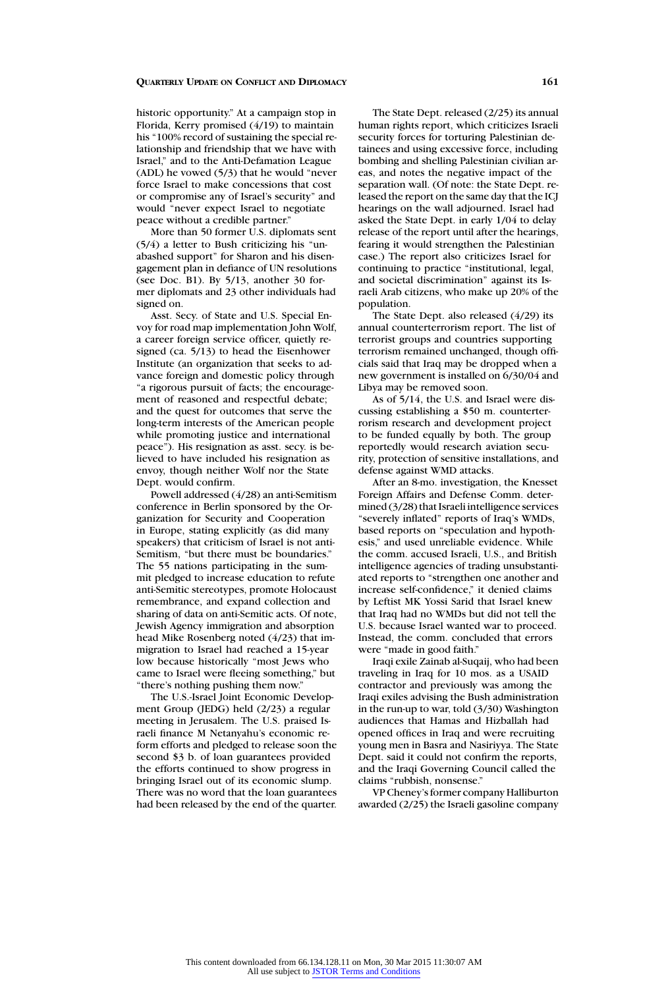historic opportunity." At a campaign stop in Florida, Kerry promised (4/19) to maintain his "100% record of sustaining the special relationship and friendship that we have with Israel," and to the Anti-Defamation League (ADL) he vowed (5/3) that he would "never force Israel to make concessions that cost or compromise any of Israel's security" and would "never expect Israel to negotiate peace without a credible partner."

More than 50 former U.S. diplomats sent (5/4) a letter to Bush criticizing his "unabashed support" for Sharon and his disengagement plan in defiance of UN resolutions (see Doc. B1). By 5/13, another 30 former diplomats and 23 other individuals had signed on.

Asst. Secy. of State and U.S. Special Envoy for road map implementation John Wolf, a career foreign service officer, quietly resigned (ca. 5/13) to head the Eisenhower Institute (an organization that seeks to advance foreign and domestic policy through "a rigorous pursuit of facts; the encouragement of reasoned and respectful debate; and the quest for outcomes that serve the long-term interests of the American people while promoting justice and international peace"). His resignation as asst. secy. is believed to have included his resignation as envoy, though neither Wolf nor the State Dept. would confirm.

Powell addressed (4/28) an anti-Semitism conference in Berlin sponsored by the Organization for Security and Cooperation in Europe, stating explicitly (as did many speakers) that criticism of Israel is not anti-Semitism, "but there must be boundaries." The 55 nations participating in the summit pledged to increase education to refute anti-Semitic stereotypes, promote Holocaust remembrance, and expand collection and sharing of data on anti-Semitic acts. Of note, Jewish Agency immigration and absorption head Mike Rosenberg noted (4/23) that immigration to Israel had reached a 15-year low because historically "most Jews who came to Israel were fleeing something," but "there's nothing pushing them now."

The U.S.-Israel Joint Economic Development Group (JEDG) held (2/23) a regular meeting in Jerusalem. The U.S. praised Israeli finance M Netanyahu's economic reform efforts and pledged to release soon the second \$3 b. of loan guarantees provided the efforts continued to show progress in bringing Israel out of its economic slump. There was no word that the loan guarantees had been released by the end of the quarter.

The State Dept. released (2/25) its annual human rights report, which criticizes Israeli security forces for torturing Palestinian detainees and using excessive force, including bombing and shelling Palestinian civilian areas, and notes the negative impact of the separation wall. (Of note: the State Dept. released the report on the same day that the ICJ hearings on the wall adjourned. Israel had asked the State Dept. in early 1/04 to delay release of the report until after the hearings, fearing it would strengthen the Palestinian case.) The report also criticizes Israel for continuing to practice "institutional, legal, and societal discrimination" against its Israeli Arab citizens, who make up 20% of the population.

The State Dept. also released (4/29) its annual counterterrorism report. The list of terrorist groups and countries supporting terrorism remained unchanged, though officials said that Iraq may be dropped when a new government is installed on 6/30/04 and Libya may be removed soon.

As of 5/14, the U.S. and Israel were discussing establishing a \$50 m. counterterrorism research and development project to be funded equally by both. The group reportedly would research aviation security, protection of sensitive installations, and defense against WMD attacks.

After an 8-mo. investigation, the Knesset Foreign Affairs and Defense Comm. determined (3/28) that Israeli intelligence services "severely inflated" reports of Iraq's WMDs, based reports on "speculation and hypothesis," and used unreliable evidence. While the comm. accused Israeli, U.S., and British intelligence agencies of trading unsubstantiated reports to "strengthen one another and increase self-confidence," it denied claims by Leftist MK Yossi Sarid that Israel knew that Iraq had no WMDs but did not tell the U.S. because Israel wanted war to proceed. Instead, the comm. concluded that errors were "made in good faith."

Iraqi exile Zainab al-Suqaij, who had been traveling in Iraq for 10 mos. as a USAID contractor and previously was among the Iraqi exiles advising the Bush administration in the run-up to war, told (3/30) Washington audiences that Hamas and Hizballah had opened offices in Iraq and were recruiting young men in Basra and Nasiriyya. The State Dept. said it could not confirm the reports, and the Iraqi Governing Council called the claims "rubbish, nonsense."

VP Cheney's former company Halliburton awarded (2/25) the Israeli gasoline company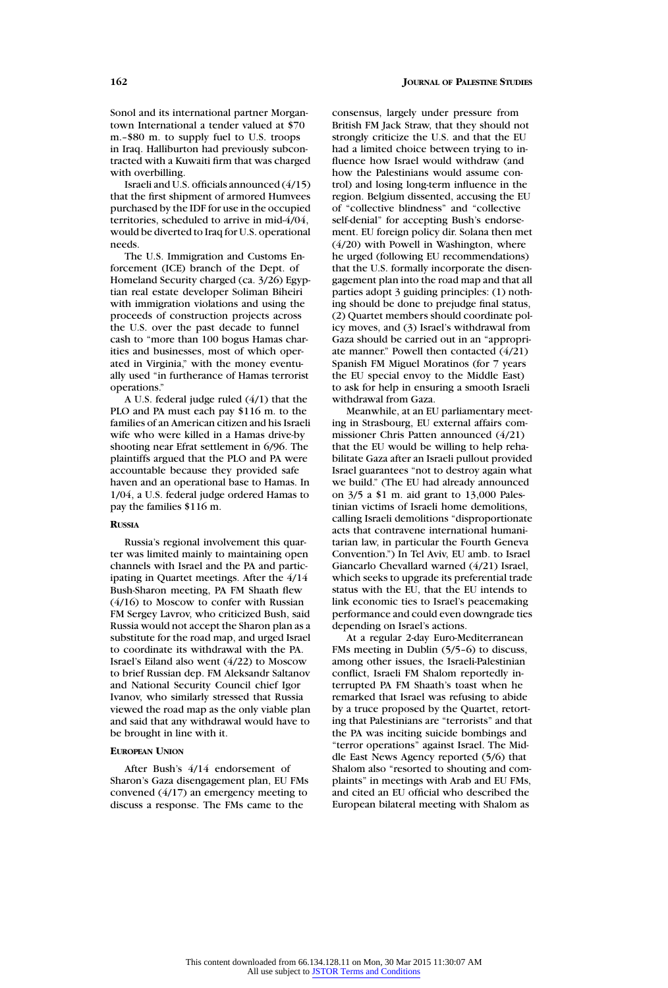Sonol and its international partner Morgantown International a tender valued at \$70 m.–\$80 m. to supply fuel to U.S. troops in Iraq. Halliburton had previously subcontracted with a Kuwaiti firm that was charged with overbilling.

Israeli and U.S. officials announced (4/15) that the first shipment of armored Humvees purchased by the IDF for use in the occupied territories, scheduled to arrive in mid-4/04, would be diverted to Iraq for U.S. operational needs.

The U.S. Immigration and Customs Enforcement (ICE) branch of the Dept. of Homeland Security charged (ca. 3/26) Egyptian real estate developer Soliman Biheiri with immigration violations and using the proceeds of construction projects across the U.S. over the past decade to funnel cash to "more than 100 bogus Hamas charities and businesses, most of which operated in Virginia," with the money eventually used "in furtherance of Hamas terrorist operations."

A U.S. federal judge ruled (4/1) that the PLO and PA must each pay \$116 m. to the families of an American citizen and his Israeli wife who were killed in a Hamas drive-by shooting near Efrat settlement in 6/96. The plaintiffs argued that the PLO and PA were accountable because they provided safe haven and an operational base to Hamas. In 1/04, a U.S. federal judge ordered Hamas to pay the families \$116 m.

#### **RUSSIA**

Russia's regional involvement this quarter was limited mainly to maintaining open channels with Israel and the PA and participating in Quartet meetings. After the 4/14 Bush-Sharon meeting, PA FM Shaath flew (4/16) to Moscow to confer with Russian FM Sergey Lavrov, who criticized Bush, said Russia would not accept the Sharon plan as a substitute for the road map, and urged Israel to coordinate its withdrawal with the PA. Israel's Eiland also went (4/22) to Moscow to brief Russian dep. FM Aleksandr Saltanov and National Security Council chief Igor Ivanov, who similarly stressed that Russia viewed the road map as the only viable plan and said that any withdrawal would have to be brought in line with it.

## **EUROPEAN UNION**

After Bush's 4/14 endorsement of Sharon's Gaza disengagement plan, EU FMs convened (4/17) an emergency meeting to discuss a response. The FMs came to the

consensus, largely under pressure from British FM Jack Straw, that they should not strongly criticize the U.S. and that the EU had a limited choice between trying to influence how Israel would withdraw (and how the Palestinians would assume control) and losing long-term influence in the region. Belgium dissented, accusing the EU of "collective blindness" and "collective self-denial" for accepting Bush's endorsement. EU foreign policy dir. Solana then met (4/20) with Powell in Washington, where he urged (following EU recommendations) that the U.S. formally incorporate the disengagement plan into the road map and that all parties adopt 3 guiding principles: (1) nothing should be done to prejudge final status, (2) Quartet members should coordinate policy moves, and (3) Israel's withdrawal from Gaza should be carried out in an "appropriate manner." Powell then contacted (4/21) Spanish FM Miguel Moratinos (for 7 years the EU special envoy to the Middle East) to ask for help in ensuring a smooth Israeli withdrawal from Gaza.

Meanwhile, at an EU parliamentary meeting in Strasbourg, EU external affairs commissioner Chris Patten announced (4/21) that the EU would be willing to help rehabilitate Gaza after an Israeli pullout provided Israel guarantees "not to destroy again what we build." (The EU had already announced on 3/5 a \$1 m. aid grant to 13,000 Palestinian victims of Israeli home demolitions, calling Israeli demolitions "disproportionate acts that contravene international humanitarian law, in particular the Fourth Geneva Convention.") In Tel Aviv, EU amb. to Israel Giancarlo Chevallard warned (4/21) Israel, which seeks to upgrade its preferential trade status with the EU, that the EU intends to link economic ties to Israel's peacemaking performance and could even downgrade ties depending on Israel's actions.

At a regular 2-day Euro-Mediterranean FMs meeting in Dublin (5/5–6) to discuss, among other issues, the Israeli-Palestinian conflict, Israeli FM Shalom reportedly interrupted PA FM Shaath's toast when he remarked that Israel was refusing to abide by a truce proposed by the Quartet, retorting that Palestinians are "terrorists" and that the PA was inciting suicide bombings and "terror operations" against Israel. The Middle East News Agency reported (5/6) that Shalom also "resorted to shouting and complaints" in meetings with Arab and EU FMs, and cited an EU official who described the European bilateral meeting with Shalom as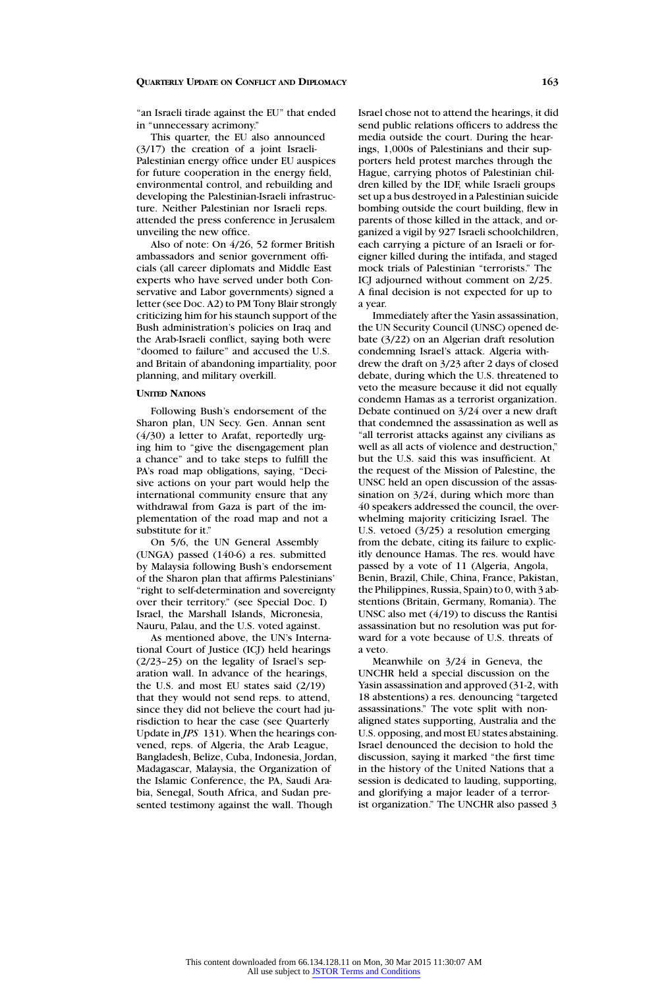"an Israeli tirade against the EU" that ended in "unnecessary acrimony."

This quarter, the EU also announced (3/17) the creation of a joint Israeli-Palestinian energy office under EU auspices for future cooperation in the energy field, environmental control, and rebuilding and developing the Palestinian-Israeli infrastructure. Neither Palestinian nor Israeli reps. attended the press conference in Jerusalem unveiling the new office.

Also of note: On 4/26, 52 former British ambassadors and senior government officials (all career diplomats and Middle East experts who have served under both Conservative and Labor governments) signed a letter (see Doc. A2) to PM Tony Blair strongly criticizing him for his staunch support of the Bush administration's policies on Iraq and the Arab-Israeli conflict, saying both were "doomed to failure" and accused the U.S. and Britain of abandoning impartiality, poor planning, and military overkill.

#### **UNITED NATIONS**

Following Bush's endorsement of the Sharon plan, UN Secy. Gen. Annan sent (4/30) a letter to Arafat, reportedly urging him to "give the disengagement plan a chance" and to take steps to fulfill the PA's road map obligations, saying, "Decisive actions on your part would help the international community ensure that any withdrawal from Gaza is part of the implementation of the road map and not a substitute for it."

On 5/6, the UN General Assembly (UNGA) passed (140-6) a res. submitted by Malaysia following Bush's endorsement of the Sharon plan that affirms Palestinians' "right to self-determination and sovereignty over their territory." (see Special Doc. I) Israel, the Marshall Islands, Micronesia, Nauru, Palau, and the U.S. voted against.

As mentioned above, the UN's International Court of Justice (ICJ) held hearings (2/23–25) on the legality of Israel's separation wall. In advance of the hearings, the U.S. and most EU states said (2/19) that they would not send reps. to attend, since they did not believe the court had jurisdiction to hear the case (see Quarterly Update in *JPS* 131). When the hearings convened, reps. of Algeria, the Arab League, Bangladesh, Belize, Cuba, Indonesia, Jordan, Madagascar, Malaysia, the Organization of the Islamic Conference, the PA, Saudi Arabia, Senegal, South Africa, and Sudan presented testimony against the wall. Though

Israel chose not to attend the hearings, it did send public relations officers to address the media outside the court. During the hearings, 1,000s of Palestinians and their supporters held protest marches through the Hague, carrying photos of Palestinian children killed by the IDF, while Israeli groups set up a bus destroyed in a Palestinian suicide bombing outside the court building, flew in parents of those killed in the attack, and organized a vigil by 927 Israeli schoolchildren, each carrying a picture of an Israeli or foreigner killed during the intifada, and staged mock trials of Palestinian "terrorists." The ICJ adjourned without comment on 2/25. A final decision is not expected for up to a year.

Immediately after the Yasin assassination, the UN Security Council (UNSC) opened debate (3/22) on an Algerian draft resolution condemning Israel's attack. Algeria withdrew the draft on 3/23 after 2 days of closed debate, during which the U.S. threatened to veto the measure because it did not equally condemn Hamas as a terrorist organization. Debate continued on 3/24 over a new draft that condemned the assassination as well as "all terrorist attacks against any civilians as well as all acts of violence and destruction," but the U.S. said this was insufficient. At the request of the Mission of Palestine, the UNSC held an open discussion of the assassination on  $3/24$ , during which more than 40 speakers addressed the council, the overwhelming majority criticizing Israel. The U.S. vetoed (3/25) a resolution emerging from the debate, citing its failure to explicitly denounce Hamas. The res. would have passed by a vote of 11 (Algeria, Angola, Benin, Brazil, Chile, China, France, Pakistan, the Philippines, Russia, Spain) to 0, with 3 abstentions (Britain, Germany, Romania). The UNSC also met (4/19) to discuss the Rantisi assassination but no resolution was put forward for a vote because of U.S. threats of a veto.

Meanwhile on 3/24 in Geneva, the UNCHR held a special discussion on the Yasin assassination and approved (31-2, with 18 abstentions) a res. denouncing "targeted assassinations." The vote split with nonaligned states supporting, Australia and the U.S. opposing, and most EU states abstaining. Israel denounced the decision to hold the discussion, saying it marked "the first time in the history of the United Nations that a session is dedicated to lauding, supporting, and glorifying a major leader of a terrorist organization." The UNCHR also passed 3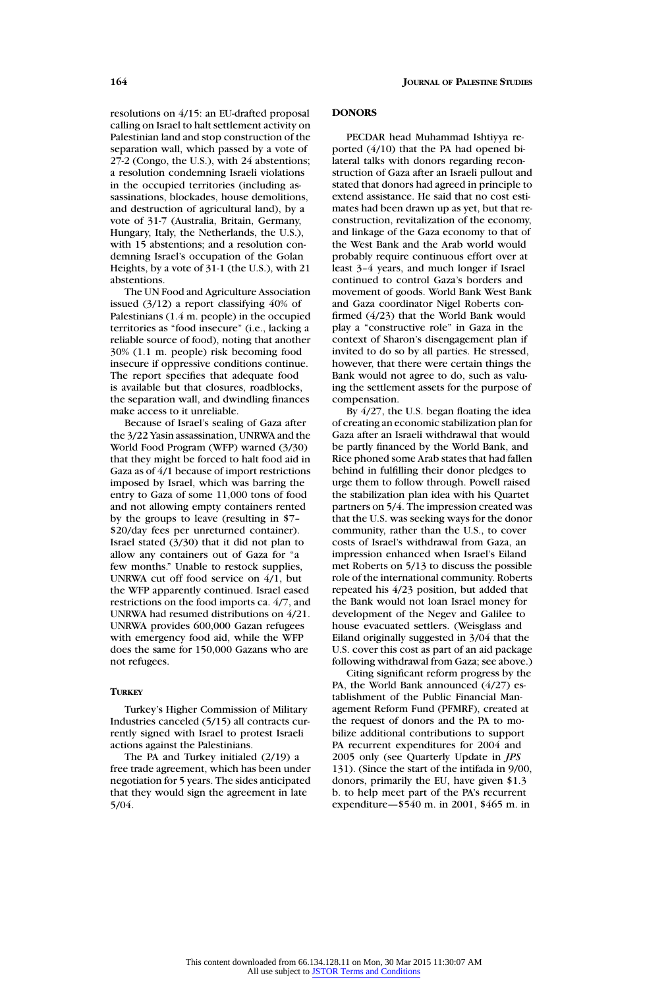resolutions on 4/15: an EU-drafted proposal calling on Israel to halt settlement activity on Palestinian land and stop construction of the separation wall, which passed by a vote of 27-2 (Congo, the U.S.), with 24 abstentions; a resolution condemning Israeli violations in the occupied territories (including assassinations, blockades, house demolitions, and destruction of agricultural land), by a vote of 31-7 (Australia, Britain, Germany, Hungary, Italy, the Netherlands, the U.S.), with 15 abstentions; and a resolution condemning Israel's occupation of the Golan Heights, by a vote of 31-1 (the U.S.), with 21 abstentions.

The UN Food and Agriculture Association issued (3/12) a report classifying 40% of Palestinians (1.4 m. people) in the occupied territories as "food insecure" (i.e., lacking a reliable source of food), noting that another 30% (1.1 m. people) risk becoming food insecure if oppressive conditions continue. The report specifies that adequate food is available but that closures, roadblocks, the separation wall, and dwindling finances make access to it unreliable.

Because of Israel's sealing of Gaza after the 3/22 Yasin assassination, UNRWA and the World Food Program (WFP) warned (3/30) that they might be forced to halt food aid in Gaza as of 4/1 because of import restrictions imposed by Israel, which was barring the entry to Gaza of some 11,000 tons of food and not allowing empty containers rented by the groups to leave (resulting in \$7– \$20/day fees per unreturned container). Israel stated (3/30) that it did not plan to allow any containers out of Gaza for "a few months." Unable to restock supplies, UNRWA cut off food service on 4/1, but the WFP apparently continued. Israel eased restrictions on the food imports ca. 4/7, and UNRWA had resumed distributions on 4/21. UNRWA provides 600,000 Gazan refugees with emergency food aid, while the WFP does the same for 150,000 Gazans who are not refugees.

## **TURKEY**

Turkey's Higher Commission of Military Industries canceled (5/15) all contracts currently signed with Israel to protest Israeli actions against the Palestinians.

The PA and Turkey initialed (2/19) a free trade agreement, which has been under negotiation for 5 years. The sides anticipated that they would sign the agreement in late 5/04.

## **DONORS**

PECDAR head Muhammad Ishtiyya reported (4/10) that the PA had opened bilateral talks with donors regarding reconstruction of Gaza after an Israeli pullout and stated that donors had agreed in principle to extend assistance. He said that no cost estimates had been drawn up as yet, but that reconstruction, revitalization of the economy, and linkage of the Gaza economy to that of the West Bank and the Arab world would probably require continuous effort over at least 3–4 years, and much longer if Israel continued to control Gaza's borders and movement of goods. World Bank West Bank and Gaza coordinator Nigel Roberts confirmed (4/23) that the World Bank would play a "constructive role" in Gaza in the context of Sharon's disengagement plan if invited to do so by all parties. He stressed, however, that there were certain things the Bank would not agree to do, such as valuing the settlement assets for the purpose of compensation.

By 4/27, the U.S. began floating the idea of creating an economic stabilization plan for Gaza after an Israeli withdrawal that would be partly financed by the World Bank, and Rice phoned some Arab states that had fallen behind in fulfilling their donor pledges to urge them to follow through. Powell raised the stabilization plan idea with his Quartet partners on 5/4. The impression created was that the U.S. was seeking ways for the donor community, rather than the U.S., to cover costs of Israel's withdrawal from Gaza, an impression enhanced when Israel's Eiland met Roberts on 5/13 to discuss the possible role of the international community. Roberts repeated his 4/23 position, but added that the Bank would not loan Israel money for development of the Negev and Galilee to house evacuated settlers. (Weisglass and Eiland originally suggested in 3/04 that the U.S. cover this cost as part of an aid package following withdrawal from Gaza; see above.)

Citing significant reform progress by the PA, the World Bank announced (4/27) establishment of the Public Financial Management Reform Fund (PFMRF), created at the request of donors and the PA to mobilize additional contributions to support PA recurrent expenditures for 2004 and 2005 only (see Quarterly Update in *JPS* 131). (Since the start of the intifada in 9/00, donors, primarily the EU, have given \$1.3 b. to help meet part of the PA's recurrent expenditure—\$540 m. in 2001, \$465 m. in